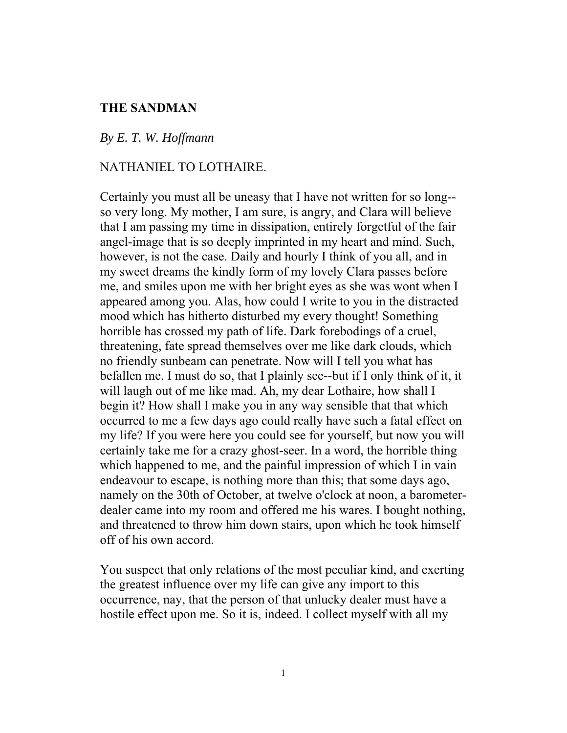# **THE SANDMAN**

#### *By E. T. W. Hoffmann*

## NATHANIEL TO LOTHAIRE.

Certainly you must all be uneasy that I have not written for so long- so very long. My mother, I am sure, is angry, and Clara will believe that I am passing my time in dissipation, entirely forgetful of the fair angel-image that is so deeply imprinted in my heart and mind. Such, however, is not the case. Daily and hourly I think of you all, and in my sweet dreams the kindly form of my lovely Clara passes before me, and smiles upon me with her bright eyes as she was wont when I appeared among you. Alas, how could I write to you in the distracted mood which has hitherto disturbed my every thought! Something horrible has crossed my path of life. Dark forebodings of a cruel, threatening, fate spread themselves over me like dark clouds, which no friendly sunbeam can penetrate. Now will I tell you what has befallen me. I must do so, that I plainly see--but if I only think of it, it will laugh out of me like mad. Ah, my dear Lothaire, how shall I begin it? How shall I make you in any way sensible that that which occurred to me a few days ago could really have such a fatal effect on my life? If you were here you could see for yourself, but now you will certainly take me for a crazy ghost-seer. In a word, the horrible thing which happened to me, and the painful impression of which I in vain endeavour to escape, is nothing more than this; that some days ago, namely on the 30th of October, at twelve o'clock at noon, a barometerdealer came into my room and offered me his wares. I bought nothing, and threatened to throw him down stairs, upon which he took himself off of his own accord.

You suspect that only relations of the most peculiar kind, and exerting the greatest influence over my life can give any import to this occurrence, nay, that the person of that unlucky dealer must have a hostile effect upon me. So it is, indeed. I collect myself with all my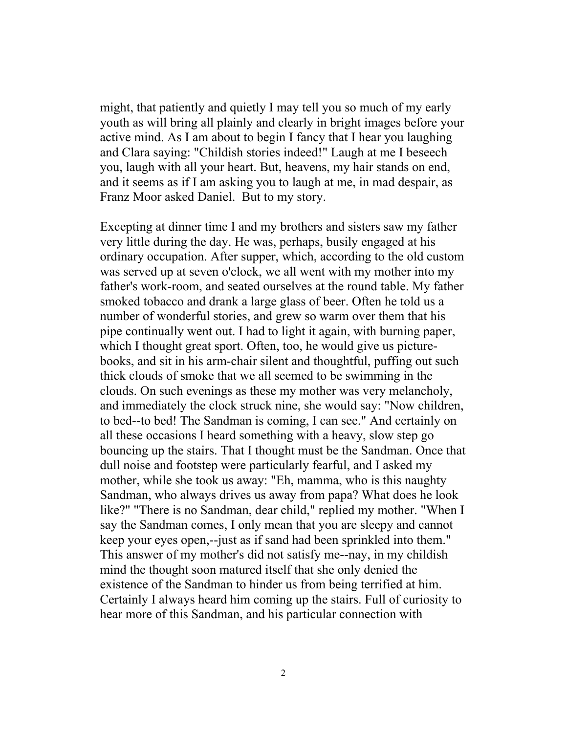might, that patiently and quietly I may tell you so much of my early youth as will bring all plainly and clearly in bright images before your active mind. As I am about to begin I fancy that I hear you laughing and Clara saying: "Childish stories indeed!" Laugh at me I beseech you, laugh with all your heart. But, heavens, my hair stands on end, and it seems as if I am asking you to laugh at me, in mad despair, as Franz Moor asked Daniel. But to my story.

Excepting at dinner time I and my brothers and sisters saw my father very little during the day. He was, perhaps, busily engaged at his ordinary occupation. After supper, which, according to the old custom was served up at seven o'clock, we all went with my mother into my father's work-room, and seated ourselves at the round table. My father smoked tobacco and drank a large glass of beer. Often he told us a number of wonderful stories, and grew so warm over them that his pipe continually went out. I had to light it again, with burning paper, which I thought great sport. Often, too, he would give us picturebooks, and sit in his arm-chair silent and thoughtful, puffing out such thick clouds of smoke that we all seemed to be swimming in the clouds. On such evenings as these my mother was very melancholy, and immediately the clock struck nine, she would say: "Now children, to bed--to bed! The Sandman is coming, I can see." And certainly on all these occasions I heard something with a heavy, slow step go bouncing up the stairs. That I thought must be the Sandman. Once that dull noise and footstep were particularly fearful, and I asked my mother, while she took us away: "Eh, mamma, who is this naughty Sandman, who always drives us away from papa? What does he look like?" "There is no Sandman, dear child," replied my mother. "When I say the Sandman comes, I only mean that you are sleepy and cannot keep your eyes open,--just as if sand had been sprinkled into them." This answer of my mother's did not satisfy me--nay, in my childish mind the thought soon matured itself that she only denied the existence of the Sandman to hinder us from being terrified at him. Certainly I always heard him coming up the stairs. Full of curiosity to hear more of this Sandman, and his particular connection with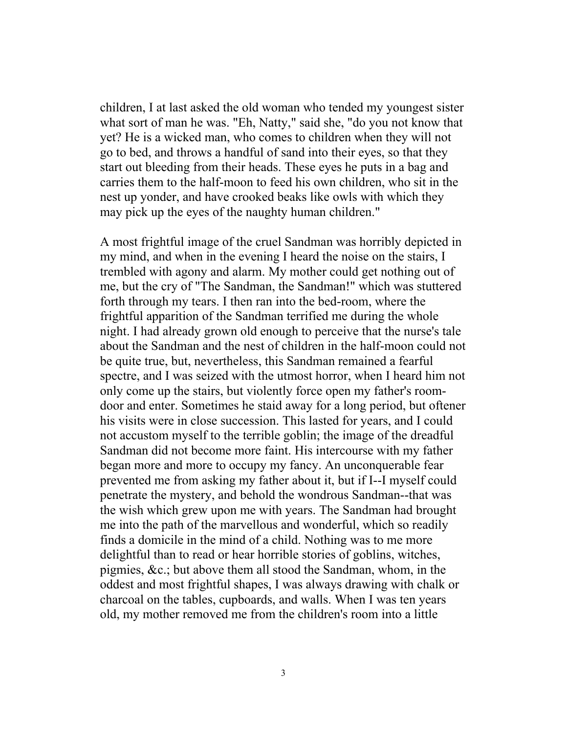children, I at last asked the old woman who tended my youngest sister what sort of man he was. "Eh, Natty," said she, "do you not know that yet? He is a wicked man, who comes to children when they will not go to bed, and throws a handful of sand into their eyes, so that they start out bleeding from their heads. These eyes he puts in a bag and carries them to the half-moon to feed his own children, who sit in the nest up yonder, and have crooked beaks like owls with which they may pick up the eyes of the naughty human children."

A most frightful image of the cruel Sandman was horribly depicted in my mind, and when in the evening I heard the noise on the stairs, I trembled with agony and alarm. My mother could get nothing out of me, but the cry of "The Sandman, the Sandman!" which was stuttered forth through my tears. I then ran into the bed-room, where the frightful apparition of the Sandman terrified me during the whole night. I had already grown old enough to perceive that the nurse's tale about the Sandman and the nest of children in the half-moon could not be quite true, but, nevertheless, this Sandman remained a fearful spectre, and I was seized with the utmost horror, when I heard him not only come up the stairs, but violently force open my father's roomdoor and enter. Sometimes he staid away for a long period, but oftener his visits were in close succession. This lasted for years, and I could not accustom myself to the terrible goblin; the image of the dreadful Sandman did not become more faint. His intercourse with my father began more and more to occupy my fancy. An unconquerable fear prevented me from asking my father about it, but if I--I myself could penetrate the mystery, and behold the wondrous Sandman--that was the wish which grew upon me with years. The Sandman had brought me into the path of the marvellous and wonderful, which so readily finds a domicile in the mind of a child. Nothing was to me more delightful than to read or hear horrible stories of goblins, witches, pigmies, &c.; but above them all stood the Sandman, whom, in the oddest and most frightful shapes, I was always drawing with chalk or charcoal on the tables, cupboards, and walls. When I was ten years old, my mother removed me from the children's room into a little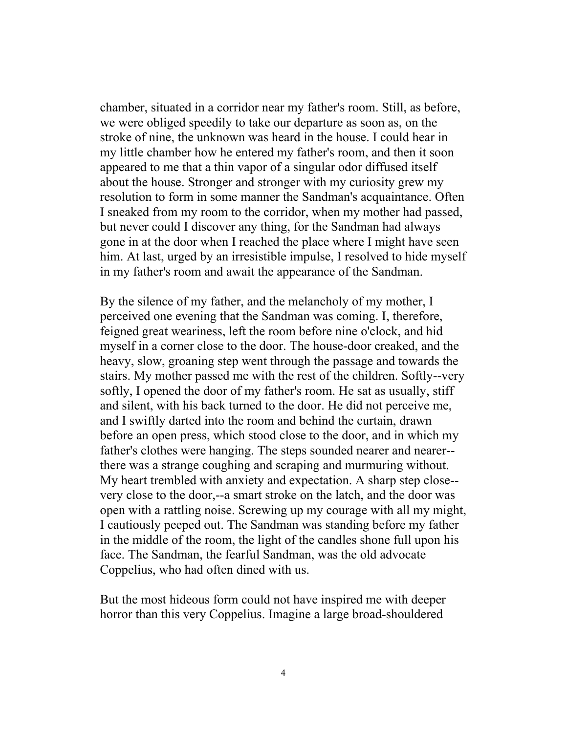chamber, situated in a corridor near my father's room. Still, as before, we were obliged speedily to take our departure as soon as, on the stroke of nine, the unknown was heard in the house. I could hear in my little chamber how he entered my father's room, and then it soon appeared to me that a thin vapor of a singular odor diffused itself about the house. Stronger and stronger with my curiosity grew my resolution to form in some manner the Sandman's acquaintance. Often I sneaked from my room to the corridor, when my mother had passed, but never could I discover any thing, for the Sandman had always gone in at the door when I reached the place where I might have seen him. At last, urged by an irresistible impulse, I resolved to hide myself in my father's room and await the appearance of the Sandman.

By the silence of my father, and the melancholy of my mother, I perceived one evening that the Sandman was coming. I, therefore, feigned great weariness, left the room before nine o'clock, and hid myself in a corner close to the door. The house-door creaked, and the heavy, slow, groaning step went through the passage and towards the stairs. My mother passed me with the rest of the children. Softly--very softly, I opened the door of my father's room. He sat as usually, stiff and silent, with his back turned to the door. He did not perceive me, and I swiftly darted into the room and behind the curtain, drawn before an open press, which stood close to the door, and in which my father's clothes were hanging. The steps sounded nearer and nearer- there was a strange coughing and scraping and murmuring without. My heart trembled with anxiety and expectation. A sharp step close- very close to the door,--a smart stroke on the latch, and the door was open with a rattling noise. Screwing up my courage with all my might, I cautiously peeped out. The Sandman was standing before my father in the middle of the room, the light of the candles shone full upon his face. The Sandman, the fearful Sandman, was the old advocate Coppelius, who had often dined with us.

But the most hideous form could not have inspired me with deeper horror than this very Coppelius. Imagine a large broad-shouldered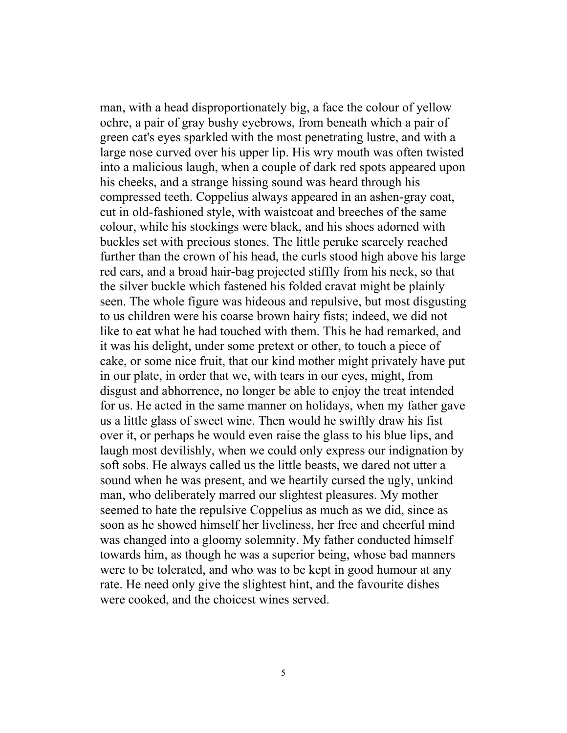man, with a head disproportionately big, a face the colour of yellow ochre, a pair of gray bushy eyebrows, from beneath which a pair of green cat's eyes sparkled with the most penetrating lustre, and with a large nose curved over his upper lip. His wry mouth was often twisted into a malicious laugh, when a couple of dark red spots appeared upon his cheeks, and a strange hissing sound was heard through his compressed teeth. Coppelius always appeared in an ashen-gray coat, cut in old-fashioned style, with waistcoat and breeches of the same colour, while his stockings were black, and his shoes adorned with buckles set with precious stones. The little peruke scarcely reached further than the crown of his head, the curls stood high above his large red ears, and a broad hair-bag projected stiffly from his neck, so that the silver buckle which fastened his folded cravat might be plainly seen. The whole figure was hideous and repulsive, but most disgusting to us children were his coarse brown hairy fists; indeed, we did not like to eat what he had touched with them. This he had remarked, and it was his delight, under some pretext or other, to touch a piece of cake, or some nice fruit, that our kind mother might privately have put in our plate, in order that we, with tears in our eyes, might, from disgust and abhorrence, no longer be able to enjoy the treat intended for us. He acted in the same manner on holidays, when my father gave us a little glass of sweet wine. Then would he swiftly draw his fist over it, or perhaps he would even raise the glass to his blue lips, and laugh most devilishly, when we could only express our indignation by soft sobs. He always called us the little beasts, we dared not utter a sound when he was present, and we heartily cursed the ugly, unkind man, who deliberately marred our slightest pleasures. My mother seemed to hate the repulsive Coppelius as much as we did, since as soon as he showed himself her liveliness, her free and cheerful mind was changed into a gloomy solemnity. My father conducted himself towards him, as though he was a superior being, whose bad manners were to be tolerated, and who was to be kept in good humour at any rate. He need only give the slightest hint, and the favourite dishes were cooked, and the choicest wines served.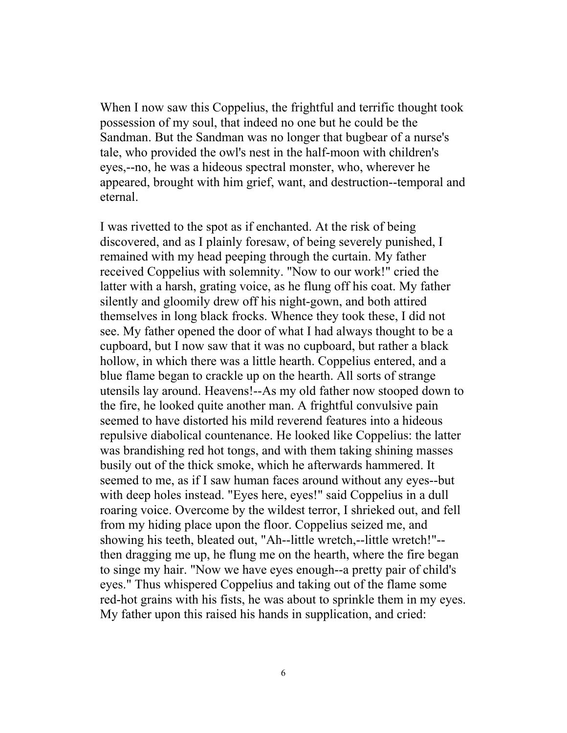When I now saw this Coppelius, the frightful and terrific thought took possession of my soul, that indeed no one but he could be the Sandman. But the Sandman was no longer that bugbear of a nurse's tale, who provided the owl's nest in the half-moon with children's eyes,--no, he was a hideous spectral monster, who, wherever he appeared, brought with him grief, want, and destruction--temporal and eternal.

I was rivetted to the spot as if enchanted. At the risk of being discovered, and as I plainly foresaw, of being severely punished, I remained with my head peeping through the curtain. My father received Coppelius with solemnity. "Now to our work!" cried the latter with a harsh, grating voice, as he flung off his coat. My father silently and gloomily drew off his night-gown, and both attired themselves in long black frocks. Whence they took these, I did not see. My father opened the door of what I had always thought to be a cupboard, but I now saw that it was no cupboard, but rather a black hollow, in which there was a little hearth. Coppelius entered, and a blue flame began to crackle up on the hearth. All sorts of strange utensils lay around. Heavens!--As my old father now stooped down to the fire, he looked quite another man. A frightful convulsive pain seemed to have distorted his mild reverend features into a hideous repulsive diabolical countenance. He looked like Coppelius: the latter was brandishing red hot tongs, and with them taking shining masses busily out of the thick smoke, which he afterwards hammered. It seemed to me, as if I saw human faces around without any eyes--but with deep holes instead. "Eyes here, eyes!" said Coppelius in a dull roaring voice. Overcome by the wildest terror, I shrieked out, and fell from my hiding place upon the floor. Coppelius seized me, and showing his teeth, bleated out, "Ah--little wretch,--little wretch!"- then dragging me up, he flung me on the hearth, where the fire began to singe my hair. "Now we have eyes enough--a pretty pair of child's eyes." Thus whispered Coppelius and taking out of the flame some red-hot grains with his fists, he was about to sprinkle them in my eyes. My father upon this raised his hands in supplication, and cried: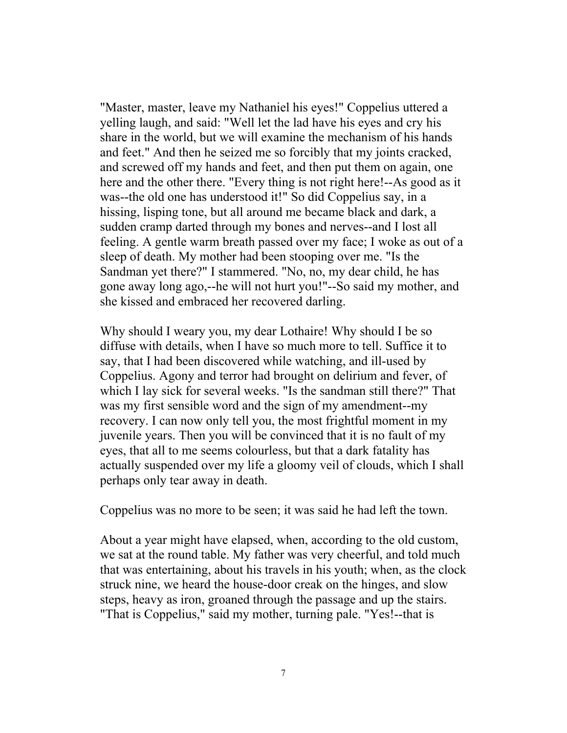"Master, master, leave my Nathaniel his eyes!" Coppelius uttered a yelling laugh, and said: "Well let the lad have his eyes and cry his share in the world, but we will examine the mechanism of his hands and feet." And then he seized me so forcibly that my joints cracked, and screwed off my hands and feet, and then put them on again, one here and the other there. "Every thing is not right here!--As good as it was--the old one has understood it!" So did Coppelius say, in a hissing, lisping tone, but all around me became black and dark, a sudden cramp darted through my bones and nerves--and I lost all feeling. A gentle warm breath passed over my face; I woke as out of a sleep of death. My mother had been stooping over me. "Is the Sandman yet there?" I stammered. "No, no, my dear child, he has gone away long ago,--he will not hurt you!"--So said my mother, and she kissed and embraced her recovered darling.

Why should I weary you, my dear Lothaire! Why should I be so diffuse with details, when I have so much more to tell. Suffice it to say, that I had been discovered while watching, and ill-used by Coppelius. Agony and terror had brought on delirium and fever, of which I lay sick for several weeks. "Is the sandman still there?" That was my first sensible word and the sign of my amendment--my recovery. I can now only tell you, the most frightful moment in my juvenile years. Then you will be convinced that it is no fault of my eyes, that all to me seems colourless, but that a dark fatality has actually suspended over my life a gloomy veil of clouds, which I shall perhaps only tear away in death.

Coppelius was no more to be seen; it was said he had left the town.

About a year might have elapsed, when, according to the old custom, we sat at the round table. My father was very cheerful, and told much that was entertaining, about his travels in his youth; when, as the clock struck nine, we heard the house-door creak on the hinges, and slow steps, heavy as iron, groaned through the passage and up the stairs. "That is Coppelius," said my mother, turning pale. "Yes!--that is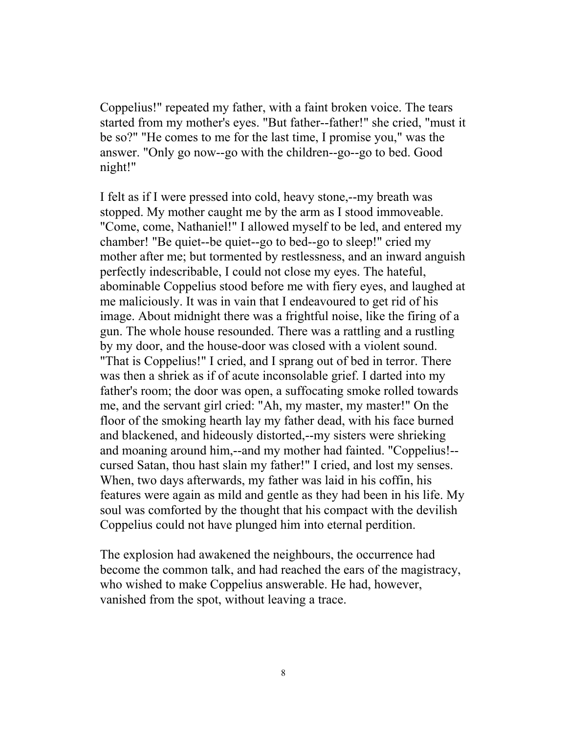Coppelius!" repeated my father, with a faint broken voice. The tears started from my mother's eyes. "But father--father!" she cried, "must it be so?" "He comes to me for the last time, I promise you," was the answer. "Only go now--go with the children--go--go to bed. Good night!"

I felt as if I were pressed into cold, heavy stone,--my breath was stopped. My mother caught me by the arm as I stood immoveable. "Come, come, Nathaniel!" I allowed myself to be led, and entered my chamber! "Be quiet--be quiet--go to bed--go to sleep!" cried my mother after me; but tormented by restlessness, and an inward anguish perfectly indescribable, I could not close my eyes. The hateful, abominable Coppelius stood before me with fiery eyes, and laughed at me maliciously. It was in vain that I endeavoured to get rid of his image. About midnight there was a frightful noise, like the firing of a gun. The whole house resounded. There was a rattling and a rustling by my door, and the house-door was closed with a violent sound. "That is Coppelius!" I cried, and I sprang out of bed in terror. There was then a shriek as if of acute inconsolable grief. I darted into my father's room; the door was open, a suffocating smoke rolled towards me, and the servant girl cried: "Ah, my master, my master!" On the floor of the smoking hearth lay my father dead, with his face burned and blackened, and hideously distorted,--my sisters were shrieking and moaning around him,--and my mother had fainted. "Coppelius!- cursed Satan, thou hast slain my father!" I cried, and lost my senses. When, two days afterwards, my father was laid in his coffin, his features were again as mild and gentle as they had been in his life. My soul was comforted by the thought that his compact with the devilish Coppelius could not have plunged him into eternal perdition.

The explosion had awakened the neighbours, the occurrence had become the common talk, and had reached the ears of the magistracy, who wished to make Coppelius answerable. He had, however, vanished from the spot, without leaving a trace.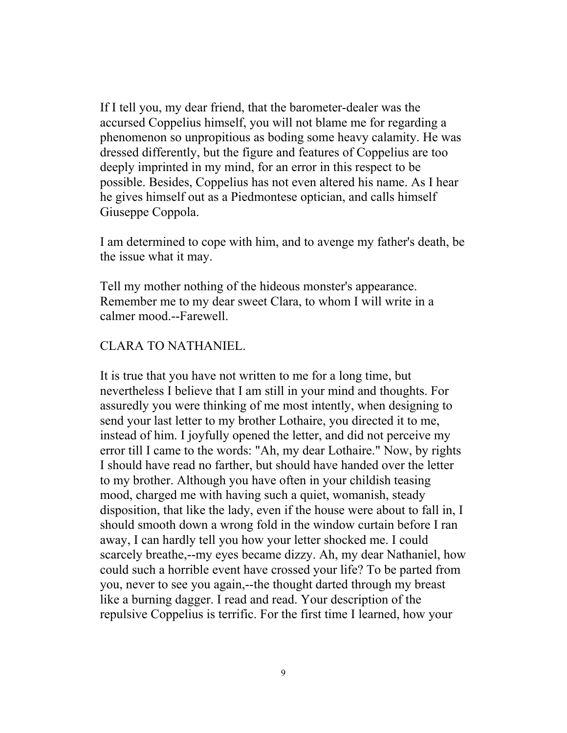If I tell you, my dear friend, that the barometer-dealer was the accursed Coppelius himself, you will not blame me for regarding a phenomenon so unpropitious as boding some heavy calamity. He was dressed differently, but the figure and features of Coppelius are too deeply imprinted in my mind, for an error in this respect to be possible. Besides, Coppelius has not even altered his name. As I hear he gives himself out as a Piedmontese optician, and calls himself Giuseppe Coppola.

I am determined to cope with him, and to avenge my father's death, be the issue what it may.

Tell my mother nothing of the hideous monster's appearance. Remember me to my dear sweet Clara, to whom I will write in a calmer mood.--Farewell.

## CLARA TO NATHANIEL.

It is true that you have not written to me for a long time, but nevertheless I believe that I am still in your mind and thoughts. For assuredly you were thinking of me most intently, when designing to send your last letter to my brother Lothaire, you directed it to me, instead of him. I joyfully opened the letter, and did not perceive my error till I came to the words: "Ah, my dear Lothaire." Now, by rights I should have read no farther, but should have handed over the letter to my brother. Although you have often in your childish teasing mood, charged me with having such a quiet, womanish, steady disposition, that like the lady, even if the house were about to fall in, I should smooth down a wrong fold in the window curtain before I ran away, I can hardly tell you how your letter shocked me. I could scarcely breathe,--my eyes became dizzy. Ah, my dear Nathaniel, how could such a horrible event have crossed your life? To be parted from you, never to see you again,--the thought darted through my breast like a burning dagger. I read and read. Your description of the repulsive Coppelius is terrific. For the first time I learned, how your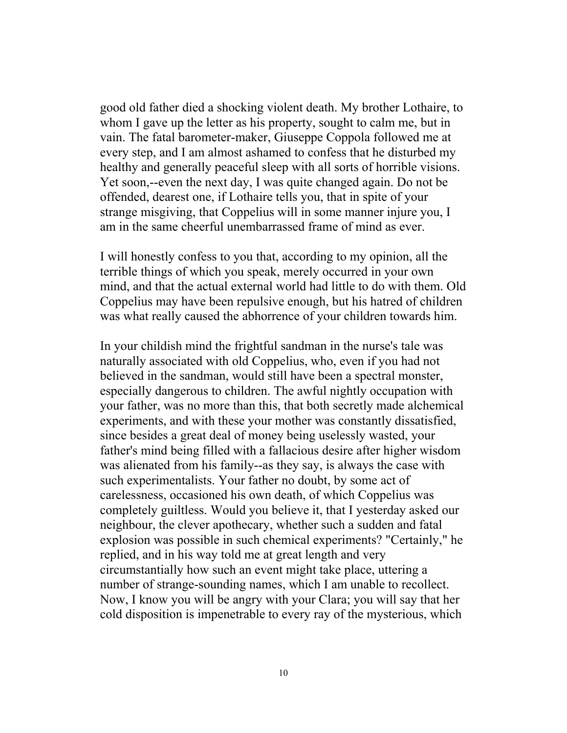good old father died a shocking violent death. My brother Lothaire, to whom I gave up the letter as his property, sought to calm me, but in vain. The fatal barometer-maker, Giuseppe Coppola followed me at every step, and I am almost ashamed to confess that he disturbed my healthy and generally peaceful sleep with all sorts of horrible visions. Yet soon,--even the next day, I was quite changed again. Do not be offended, dearest one, if Lothaire tells you, that in spite of your strange misgiving, that Coppelius will in some manner injure you, I am in the same cheerful unembarrassed frame of mind as ever.

I will honestly confess to you that, according to my opinion, all the terrible things of which you speak, merely occurred in your own mind, and that the actual external world had little to do with them. Old Coppelius may have been repulsive enough, but his hatred of children was what really caused the abhorrence of your children towards him.

In your childish mind the frightful sandman in the nurse's tale was naturally associated with old Coppelius, who, even if you had not believed in the sandman, would still have been a spectral monster, especially dangerous to children. The awful nightly occupation with your father, was no more than this, that both secretly made alchemical experiments, and with these your mother was constantly dissatisfied, since besides a great deal of money being uselessly wasted, your father's mind being filled with a fallacious desire after higher wisdom was alienated from his family--as they say, is always the case with such experimentalists. Your father no doubt, by some act of carelessness, occasioned his own death, of which Coppelius was completely guiltless. Would you believe it, that I yesterday asked our neighbour, the clever apothecary, whether such a sudden and fatal explosion was possible in such chemical experiments? "Certainly," he replied, and in his way told me at great length and very circumstantially how such an event might take place, uttering a number of strange-sounding names, which I am unable to recollect. Now, I know you will be angry with your Clara; you will say that her cold disposition is impenetrable to every ray of the mysterious, which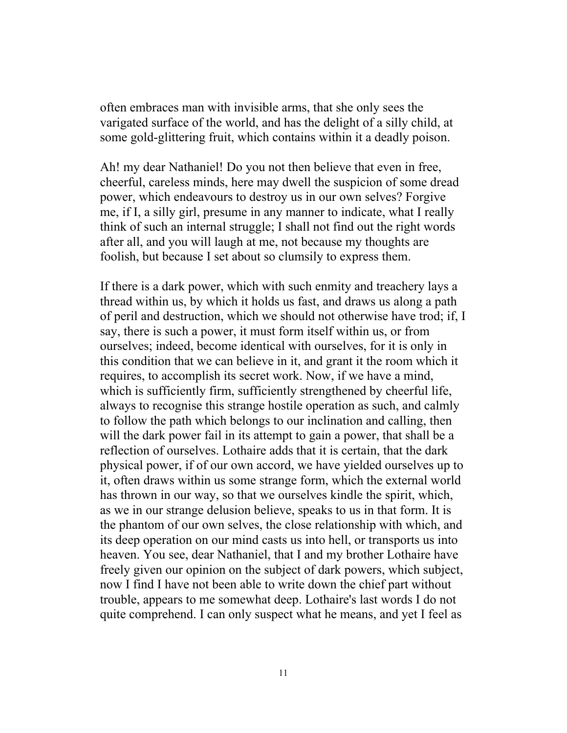often embraces man with invisible arms, that she only sees the varigated surface of the world, and has the delight of a silly child, at some gold-glittering fruit, which contains within it a deadly poison.

Ah! my dear Nathaniel! Do you not then believe that even in free, cheerful, careless minds, here may dwell the suspicion of some dread power, which endeavours to destroy us in our own selves? Forgive me, if I, a silly girl, presume in any manner to indicate, what I really think of such an internal struggle; I shall not find out the right words after all, and you will laugh at me, not because my thoughts are foolish, but because I set about so clumsily to express them.

If there is a dark power, which with such enmity and treachery lays a thread within us, by which it holds us fast, and draws us along a path of peril and destruction, which we should not otherwise have trod; if, I say, there is such a power, it must form itself within us, or from ourselves; indeed, become identical with ourselves, for it is only in this condition that we can believe in it, and grant it the room which it requires, to accomplish its secret work. Now, if we have a mind, which is sufficiently firm, sufficiently strengthened by cheerful life, always to recognise this strange hostile operation as such, and calmly to follow the path which belongs to our inclination and calling, then will the dark power fail in its attempt to gain a power, that shall be a reflection of ourselves. Lothaire adds that it is certain, that the dark physical power, if of our own accord, we have yielded ourselves up to it, often draws within us some strange form, which the external world has thrown in our way, so that we ourselves kindle the spirit, which, as we in our strange delusion believe, speaks to us in that form. It is the phantom of our own selves, the close relationship with which, and its deep operation on our mind casts us into hell, or transports us into heaven. You see, dear Nathaniel, that I and my brother Lothaire have freely given our opinion on the subject of dark powers, which subject, now I find I have not been able to write down the chief part without trouble, appears to me somewhat deep. Lothaire's last words I do not quite comprehend. I can only suspect what he means, and yet I feel as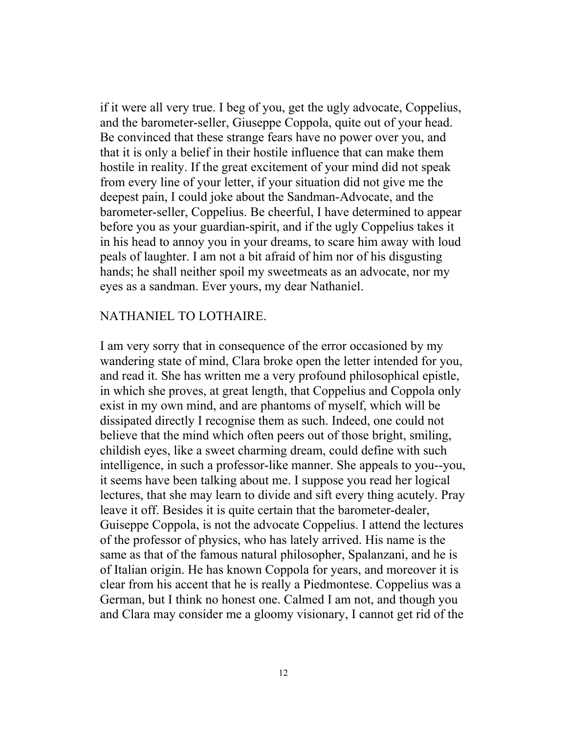if it were all very true. I beg of you, get the ugly advocate, Coppelius, and the barometer-seller, Giuseppe Coppola, quite out of your head. Be convinced that these strange fears have no power over you, and that it is only a belief in their hostile influence that can make them hostile in reality. If the great excitement of your mind did not speak from every line of your letter, if your situation did not give me the deepest pain, I could joke about the Sandman-Advocate, and the barometer-seller, Coppelius. Be cheerful, I have determined to appear before you as your guardian-spirit, and if the ugly Coppelius takes it in his head to annoy you in your dreams, to scare him away with loud peals of laughter. I am not a bit afraid of him nor of his disgusting hands; he shall neither spoil my sweetmeats as an advocate, nor my eyes as a sandman. Ever yours, my dear Nathaniel.

## NATHANIEL TO LOTHAIRE.

I am very sorry that in consequence of the error occasioned by my wandering state of mind, Clara broke open the letter intended for you, and read it. She has written me a very profound philosophical epistle, in which she proves, at great length, that Coppelius and Coppola only exist in my own mind, and are phantoms of myself, which will be dissipated directly I recognise them as such. Indeed, one could not believe that the mind which often peers out of those bright, smiling, childish eyes, like a sweet charming dream, could define with such intelligence, in such a professor-like manner. She appeals to you--you, it seems have been talking about me. I suppose you read her logical lectures, that she may learn to divide and sift every thing acutely. Pray leave it off. Besides it is quite certain that the barometer-dealer, Guiseppe Coppola, is not the advocate Coppelius. I attend the lectures of the professor of physics, who has lately arrived. His name is the same as that of the famous natural philosopher, Spalanzani, and he is of Italian origin. He has known Coppola for years, and moreover it is clear from his accent that he is really a Piedmontese. Coppelius was a German, but I think no honest one. Calmed I am not, and though you and Clara may consider me a gloomy visionary, I cannot get rid of the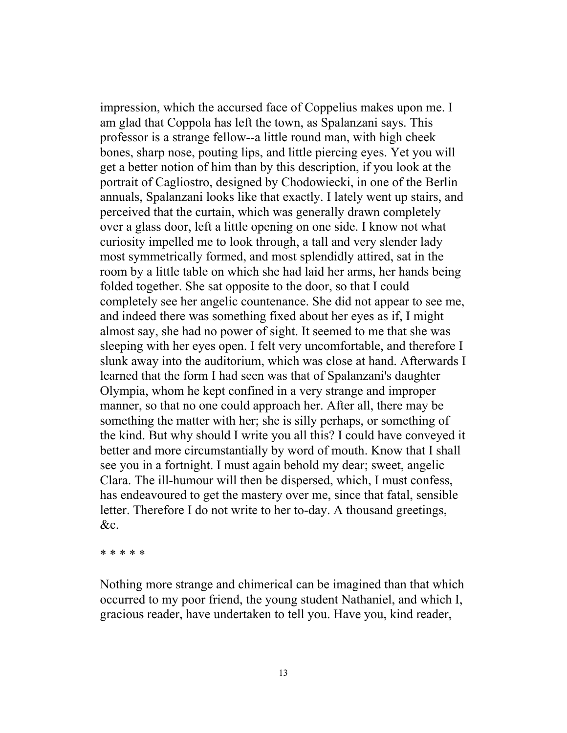impression, which the accursed face of Coppelius makes upon me. I am glad that Coppola has left the town, as Spalanzani says. This professor is a strange fellow--a little round man, with high cheek bones, sharp nose, pouting lips, and little piercing eyes. Yet you will get a better notion of him than by this description, if you look at the portrait of Cagliostro, designed by Chodowiecki, in one of the Berlin annuals, Spalanzani looks like that exactly. I lately went up stairs, and perceived that the curtain, which was generally drawn completely over a glass door, left a little opening on one side. I know not what curiosity impelled me to look through, a tall and very slender lady most symmetrically formed, and most splendidly attired, sat in the room by a little table on which she had laid her arms, her hands being folded together. She sat opposite to the door, so that I could completely see her angelic countenance. She did not appear to see me, and indeed there was something fixed about her eyes as if, I might almost say, she had no power of sight. It seemed to me that she was sleeping with her eyes open. I felt very uncomfortable, and therefore I slunk away into the auditorium, which was close at hand. Afterwards I learned that the form I had seen was that of Spalanzani's daughter Olympia, whom he kept confined in a very strange and improper manner, so that no one could approach her. After all, there may be something the matter with her; she is silly perhaps, or something of the kind. But why should I write you all this? I could have conveyed it better and more circumstantially by word of mouth. Know that I shall see you in a fortnight. I must again behold my dear; sweet, angelic Clara. The ill-humour will then be dispersed, which, I must confess, has endeavoured to get the mastery over me, since that fatal, sensible letter. Therefore I do not write to her to-day. A thousand greetings, &c.

\* \* \* \* \*

Nothing more strange and chimerical can be imagined than that which occurred to my poor friend, the young student Nathaniel, and which I, gracious reader, have undertaken to tell you. Have you, kind reader,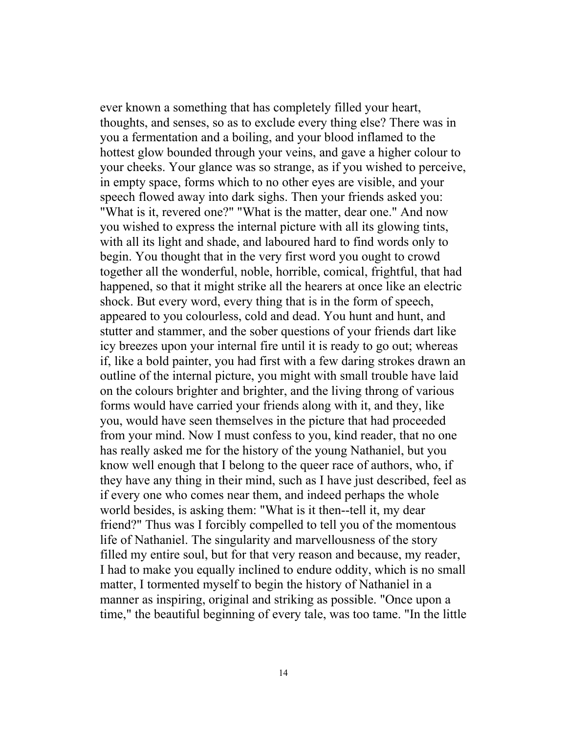ever known a something that has completely filled your heart, thoughts, and senses, so as to exclude every thing else? There was in you a fermentation and a boiling, and your blood inflamed to the hottest glow bounded through your veins, and gave a higher colour to your cheeks. Your glance was so strange, as if you wished to perceive, in empty space, forms which to no other eyes are visible, and your speech flowed away into dark sighs. Then your friends asked you: "What is it, revered one?" "What is the matter, dear one." And now you wished to express the internal picture with all its glowing tints, with all its light and shade, and laboured hard to find words only to begin. You thought that in the very first word you ought to crowd together all the wonderful, noble, horrible, comical, frightful, that had happened, so that it might strike all the hearers at once like an electric shock. But every word, every thing that is in the form of speech, appeared to you colourless, cold and dead. You hunt and hunt, and stutter and stammer, and the sober questions of your friends dart like icy breezes upon your internal fire until it is ready to go out; whereas if, like a bold painter, you had first with a few daring strokes drawn an outline of the internal picture, you might with small trouble have laid on the colours brighter and brighter, and the living throng of various forms would have carried your friends along with it, and they, like you, would have seen themselves in the picture that had proceeded from your mind. Now I must confess to you, kind reader, that no one has really asked me for the history of the young Nathaniel, but you know well enough that I belong to the queer race of authors, who, if they have any thing in their mind, such as I have just described, feel as if every one who comes near them, and indeed perhaps the whole world besides, is asking them: "What is it then--tell it, my dear friend?" Thus was I forcibly compelled to tell you of the momentous life of Nathaniel. The singularity and marvellousness of the story filled my entire soul, but for that very reason and because, my reader, I had to make you equally inclined to endure oddity, which is no small matter, I tormented myself to begin the history of Nathaniel in a manner as inspiring, original and striking as possible. "Once upon a time," the beautiful beginning of every tale, was too tame. "In the little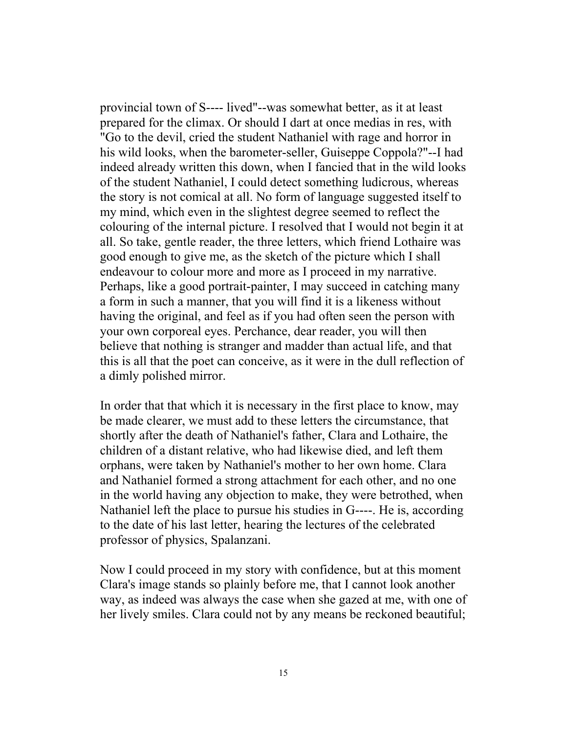provincial town of S---- lived"--was somewhat better, as it at least prepared for the climax. Or should I dart at once medias in res, with "Go to the devil, cried the student Nathaniel with rage and horror in his wild looks, when the barometer-seller, Guiseppe Coppola?"--I had indeed already written this down, when I fancied that in the wild looks of the student Nathaniel, I could detect something ludicrous, whereas the story is not comical at all. No form of language suggested itself to my mind, which even in the slightest degree seemed to reflect the colouring of the internal picture. I resolved that I would not begin it at all. So take, gentle reader, the three letters, which friend Lothaire was good enough to give me, as the sketch of the picture which I shall endeavour to colour more and more as I proceed in my narrative. Perhaps, like a good portrait-painter, I may succeed in catching many a form in such a manner, that you will find it is a likeness without having the original, and feel as if you had often seen the person with your own corporeal eyes. Perchance, dear reader, you will then believe that nothing is stranger and madder than actual life, and that this is all that the poet can conceive, as it were in the dull reflection of a dimly polished mirror.

In order that that which it is necessary in the first place to know, may be made clearer, we must add to these letters the circumstance, that shortly after the death of Nathaniel's father, Clara and Lothaire, the children of a distant relative, who had likewise died, and left them orphans, were taken by Nathaniel's mother to her own home. Clara and Nathaniel formed a strong attachment for each other, and no one in the world having any objection to make, they were betrothed, when Nathaniel left the place to pursue his studies in G----. He is, according to the date of his last letter, hearing the lectures of the celebrated professor of physics, Spalanzani.

Now I could proceed in my story with confidence, but at this moment Clara's image stands so plainly before me, that I cannot look another way, as indeed was always the case when she gazed at me, with one of her lively smiles. Clara could not by any means be reckoned beautiful;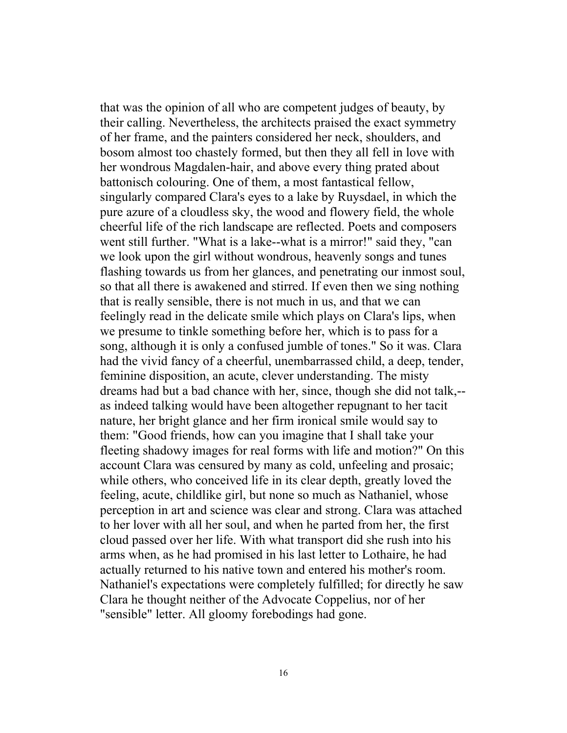that was the opinion of all who are competent judges of beauty, by their calling. Nevertheless, the architects praised the exact symmetry of her frame, and the painters considered her neck, shoulders, and bosom almost too chastely formed, but then they all fell in love with her wondrous Magdalen-hair, and above every thing prated about battonisch colouring. One of them, a most fantastical fellow, singularly compared Clara's eyes to a lake by Ruysdael, in which the pure azure of a cloudless sky, the wood and flowery field, the whole cheerful life of the rich landscape are reflected. Poets and composers went still further. "What is a lake--what is a mirror!" said they, "can we look upon the girl without wondrous, heavenly songs and tunes flashing towards us from her glances, and penetrating our inmost soul, so that all there is awakened and stirred. If even then we sing nothing that is really sensible, there is not much in us, and that we can feelingly read in the delicate smile which plays on Clara's lips, when we presume to tinkle something before her, which is to pass for a song, although it is only a confused jumble of tones." So it was. Clara had the vivid fancy of a cheerful, unembarrassed child, a deep, tender, feminine disposition, an acute, clever understanding. The misty dreams had but a bad chance with her, since, though she did not talk,- as indeed talking would have been altogether repugnant to her tacit nature, her bright glance and her firm ironical smile would say to them: "Good friends, how can you imagine that I shall take your fleeting shadowy images for real forms with life and motion?" On this account Clara was censured by many as cold, unfeeling and prosaic; while others, who conceived life in its clear depth, greatly loved the feeling, acute, childlike girl, but none so much as Nathaniel, whose perception in art and science was clear and strong. Clara was attached to her lover with all her soul, and when he parted from her, the first cloud passed over her life. With what transport did she rush into his arms when, as he had promised in his last letter to Lothaire, he had actually returned to his native town and entered his mother's room. Nathaniel's expectations were completely fulfilled; for directly he saw Clara he thought neither of the Advocate Coppelius, nor of her "sensible" letter. All gloomy forebodings had gone.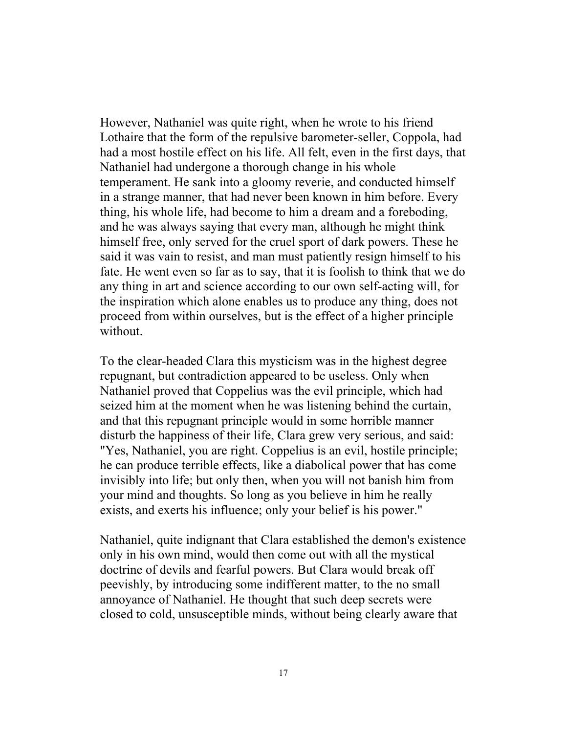However, Nathaniel was quite right, when he wrote to his friend Lothaire that the form of the repulsive barometer-seller, Coppola, had had a most hostile effect on his life. All felt, even in the first days, that Nathaniel had undergone a thorough change in his whole temperament. He sank into a gloomy reverie, and conducted himself in a strange manner, that had never been known in him before. Every thing, his whole life, had become to him a dream and a foreboding, and he was always saying that every man, although he might think himself free, only served for the cruel sport of dark powers. These he said it was vain to resist, and man must patiently resign himself to his fate. He went even so far as to say, that it is foolish to think that we do any thing in art and science according to our own self-acting will, for the inspiration which alone enables us to produce any thing, does not proceed from within ourselves, but is the effect of a higher principle without.

To the clear-headed Clara this mysticism was in the highest degree repugnant, but contradiction appeared to be useless. Only when Nathaniel proved that Coppelius was the evil principle, which had seized him at the moment when he was listening behind the curtain, and that this repugnant principle would in some horrible manner disturb the happiness of their life, Clara grew very serious, and said: "Yes, Nathaniel, you are right. Coppelius is an evil, hostile principle; he can produce terrible effects, like a diabolical power that has come invisibly into life; but only then, when you will not banish him from your mind and thoughts. So long as you believe in him he really exists, and exerts his influence; only your belief is his power."

Nathaniel, quite indignant that Clara established the demon's existence only in his own mind, would then come out with all the mystical doctrine of devils and fearful powers. But Clara would break off peevishly, by introducing some indifferent matter, to the no small annoyance of Nathaniel. He thought that such deep secrets were closed to cold, unsusceptible minds, without being clearly aware that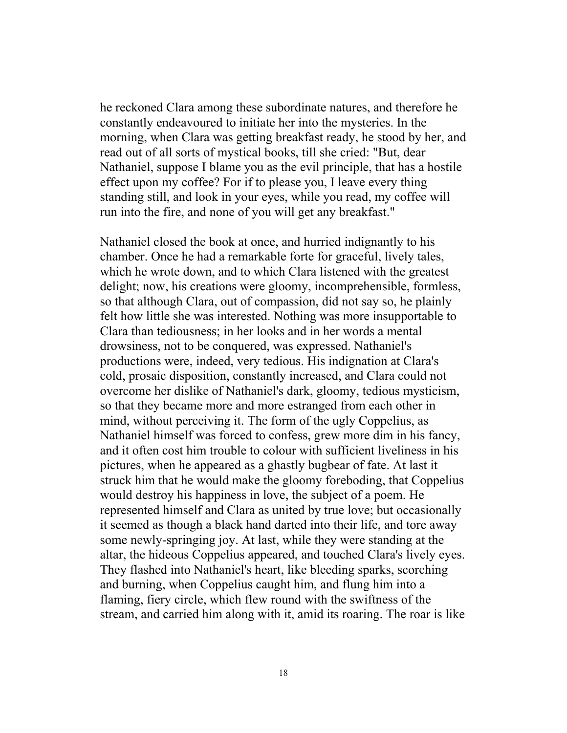he reckoned Clara among these subordinate natures, and therefore he constantly endeavoured to initiate her into the mysteries. In the morning, when Clara was getting breakfast ready, he stood by her, and read out of all sorts of mystical books, till she cried: "But, dear Nathaniel, suppose I blame you as the evil principle, that has a hostile effect upon my coffee? For if to please you, I leave every thing standing still, and look in your eyes, while you read, my coffee will run into the fire, and none of you will get any breakfast."

Nathaniel closed the book at once, and hurried indignantly to his chamber. Once he had a remarkable forte for graceful, lively tales, which he wrote down, and to which Clara listened with the greatest delight; now, his creations were gloomy, incomprehensible, formless, so that although Clara, out of compassion, did not say so, he plainly felt how little she was interested. Nothing was more insupportable to Clara than tediousness; in her looks and in her words a mental drowsiness, not to be conquered, was expressed. Nathaniel's productions were, indeed, very tedious. His indignation at Clara's cold, prosaic disposition, constantly increased, and Clara could not overcome her dislike of Nathaniel's dark, gloomy, tedious mysticism, so that they became more and more estranged from each other in mind, without perceiving it. The form of the ugly Coppelius, as Nathaniel himself was forced to confess, grew more dim in his fancy, and it often cost him trouble to colour with sufficient liveliness in his pictures, when he appeared as a ghastly bugbear of fate. At last it struck him that he would make the gloomy foreboding, that Coppelius would destroy his happiness in love, the subject of a poem. He represented himself and Clara as united by true love; but occasionally it seemed as though a black hand darted into their life, and tore away some newly-springing joy. At last, while they were standing at the altar, the hideous Coppelius appeared, and touched Clara's lively eyes. They flashed into Nathaniel's heart, like bleeding sparks, scorching and burning, when Coppelius caught him, and flung him into a flaming, fiery circle, which flew round with the swiftness of the stream, and carried him along with it, amid its roaring. The roar is like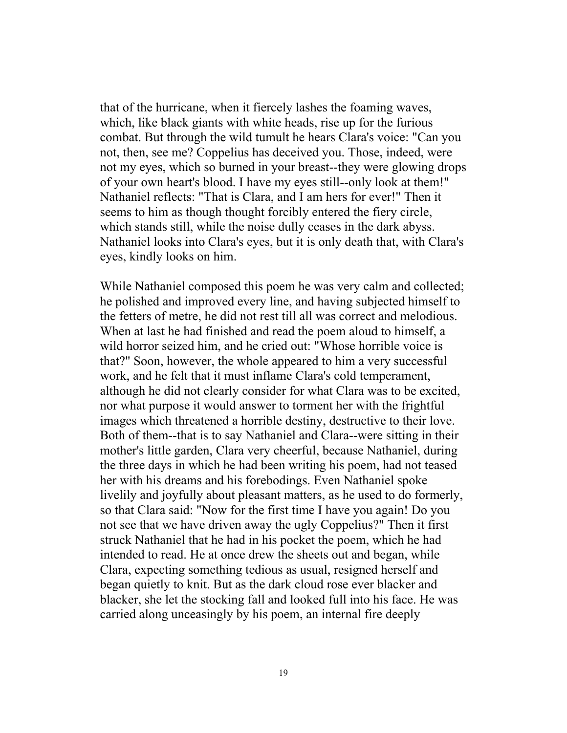that of the hurricane, when it fiercely lashes the foaming waves, which, like black giants with white heads, rise up for the furious combat. But through the wild tumult he hears Clara's voice: "Can you not, then, see me? Coppelius has deceived you. Those, indeed, were not my eyes, which so burned in your breast--they were glowing drops of your own heart's blood. I have my eyes still--only look at them!" Nathaniel reflects: "That is Clara, and I am hers for ever!" Then it seems to him as though thought forcibly entered the fiery circle, which stands still, while the noise dully ceases in the dark abyss. Nathaniel looks into Clara's eyes, but it is only death that, with Clara's eyes, kindly looks on him.

While Nathaniel composed this poem he was very calm and collected; he polished and improved every line, and having subjected himself to the fetters of metre, he did not rest till all was correct and melodious. When at last he had finished and read the poem aloud to himself, a wild horror seized him, and he cried out: "Whose horrible voice is that?" Soon, however, the whole appeared to him a very successful work, and he felt that it must inflame Clara's cold temperament, although he did not clearly consider for what Clara was to be excited, nor what purpose it would answer to torment her with the frightful images which threatened a horrible destiny, destructive to their love. Both of them--that is to say Nathaniel and Clara--were sitting in their mother's little garden, Clara very cheerful, because Nathaniel, during the three days in which he had been writing his poem, had not teased her with his dreams and his forebodings. Even Nathaniel spoke livelily and joyfully about pleasant matters, as he used to do formerly, so that Clara said: "Now for the first time I have you again! Do you not see that we have driven away the ugly Coppelius?" Then it first struck Nathaniel that he had in his pocket the poem, which he had intended to read. He at once drew the sheets out and began, while Clara, expecting something tedious as usual, resigned herself and began quietly to knit. But as the dark cloud rose ever blacker and blacker, she let the stocking fall and looked full into his face. He was carried along unceasingly by his poem, an internal fire deeply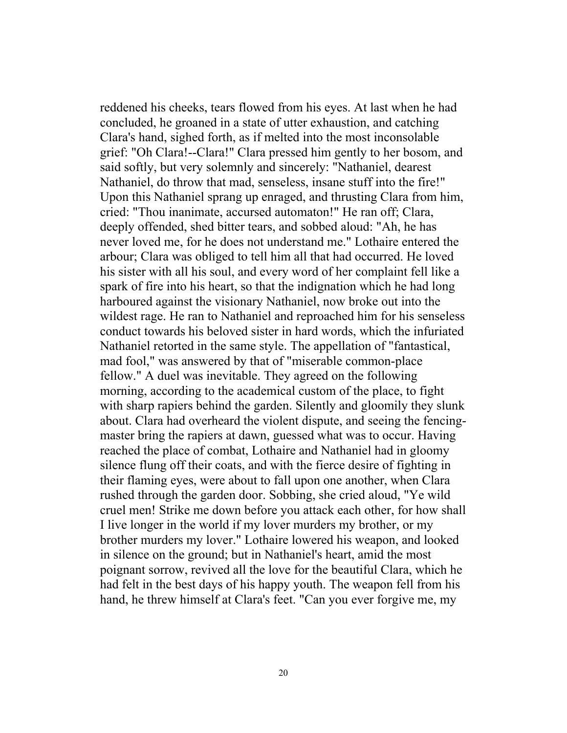reddened his cheeks, tears flowed from his eyes. At last when he had concluded, he groaned in a state of utter exhaustion, and catching Clara's hand, sighed forth, as if melted into the most inconsolable grief: "Oh Clara!--Clara!" Clara pressed him gently to her bosom, and said softly, but very solemnly and sincerely: "Nathaniel, dearest Nathaniel, do throw that mad, senseless, insane stuff into the fire!" Upon this Nathaniel sprang up enraged, and thrusting Clara from him, cried: "Thou inanimate, accursed automaton!" He ran off; Clara, deeply offended, shed bitter tears, and sobbed aloud: "Ah, he has never loved me, for he does not understand me." Lothaire entered the arbour; Clara was obliged to tell him all that had occurred. He loved his sister with all his soul, and every word of her complaint fell like a spark of fire into his heart, so that the indignation which he had long harboured against the visionary Nathaniel, now broke out into the wildest rage. He ran to Nathaniel and reproached him for his senseless conduct towards his beloved sister in hard words, which the infuriated Nathaniel retorted in the same style. The appellation of "fantastical, mad fool," was answered by that of "miserable common-place fellow." A duel was inevitable. They agreed on the following morning, according to the academical custom of the place, to fight with sharp rapiers behind the garden. Silently and gloomily they slunk about. Clara had overheard the violent dispute, and seeing the fencingmaster bring the rapiers at dawn, guessed what was to occur. Having reached the place of combat, Lothaire and Nathaniel had in gloomy silence flung off their coats, and with the fierce desire of fighting in their flaming eyes, were about to fall upon one another, when Clara rushed through the garden door. Sobbing, she cried aloud, "Ye wild cruel men! Strike me down before you attack each other, for how shall I live longer in the world if my lover murders my brother, or my brother murders my lover." Lothaire lowered his weapon, and looked in silence on the ground; but in Nathaniel's heart, amid the most poignant sorrow, revived all the love for the beautiful Clara, which he had felt in the best days of his happy youth. The weapon fell from his hand, he threw himself at Clara's feet. "Can you ever forgive me, my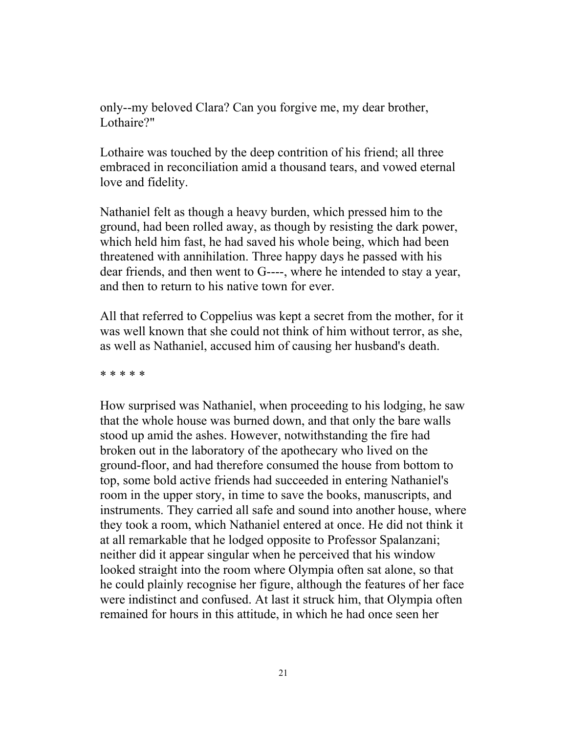only--my beloved Clara? Can you forgive me, my dear brother, Lothaire?"

Lothaire was touched by the deep contrition of his friend; all three embraced in reconciliation amid a thousand tears, and vowed eternal love and fidelity.

Nathaniel felt as though a heavy burden, which pressed him to the ground, had been rolled away, as though by resisting the dark power, which held him fast, he had saved his whole being, which had been threatened with annihilation. Three happy days he passed with his dear friends, and then went to G----, where he intended to stay a year, and then to return to his native town for ever.

All that referred to Coppelius was kept a secret from the mother, for it was well known that she could not think of him without terror, as she, as well as Nathaniel, accused him of causing her husband's death.

\* \* \* \* \*

How surprised was Nathaniel, when proceeding to his lodging, he saw that the whole house was burned down, and that only the bare walls stood up amid the ashes. However, notwithstanding the fire had broken out in the laboratory of the apothecary who lived on the ground-floor, and had therefore consumed the house from bottom to top, some bold active friends had succeeded in entering Nathaniel's room in the upper story, in time to save the books, manuscripts, and instruments. They carried all safe and sound into another house, where they took a room, which Nathaniel entered at once. He did not think it at all remarkable that he lodged opposite to Professor Spalanzani; neither did it appear singular when he perceived that his window looked straight into the room where Olympia often sat alone, so that he could plainly recognise her figure, although the features of her face were indistinct and confused. At last it struck him, that Olympia often remained for hours in this attitude, in which he had once seen her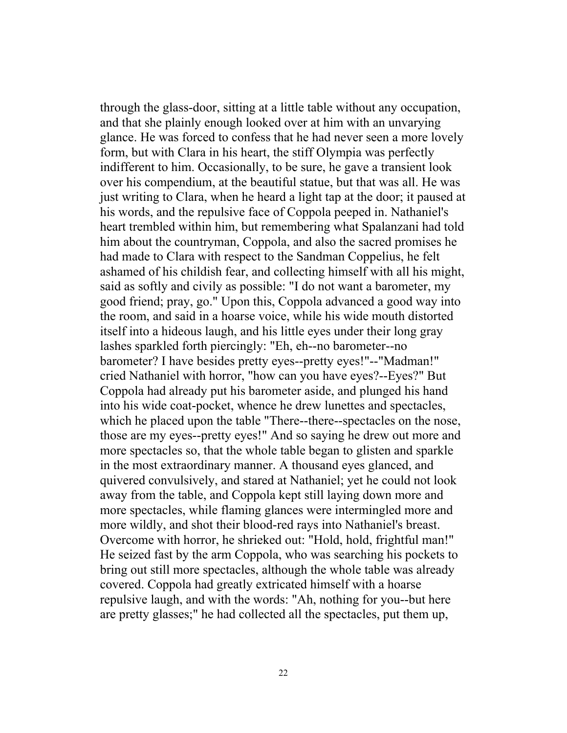through the glass-door, sitting at a little table without any occupation, and that she plainly enough looked over at him with an unvarying glance. He was forced to confess that he had never seen a more lovely form, but with Clara in his heart, the stiff Olympia was perfectly indifferent to him. Occasionally, to be sure, he gave a transient look over his compendium, at the beautiful statue, but that was all. He was just writing to Clara, when he heard a light tap at the door; it paused at his words, and the repulsive face of Coppola peeped in. Nathaniel's heart trembled within him, but remembering what Spalanzani had told him about the countryman, Coppola, and also the sacred promises he had made to Clara with respect to the Sandman Coppelius, he felt ashamed of his childish fear, and collecting himself with all his might, said as softly and civily as possible: "I do not want a barometer, my good friend; pray, go." Upon this, Coppola advanced a good way into the room, and said in a hoarse voice, while his wide mouth distorted itself into a hideous laugh, and his little eyes under their long gray lashes sparkled forth piercingly: "Eh, eh--no barometer--no barometer? I have besides pretty eyes--pretty eyes!"--"Madman!" cried Nathaniel with horror, "how can you have eyes?--Eyes?" But Coppola had already put his barometer aside, and plunged his hand into his wide coat-pocket, whence he drew lunettes and spectacles, which he placed upon the table "There--there--spectacles on the nose, those are my eyes--pretty eyes!" And so saying he drew out more and more spectacles so, that the whole table began to glisten and sparkle in the most extraordinary manner. A thousand eyes glanced, and quivered convulsively, and stared at Nathaniel; yet he could not look away from the table, and Coppola kept still laying down more and more spectacles, while flaming glances were intermingled more and more wildly, and shot their blood-red rays into Nathaniel's breast. Overcome with horror, he shrieked out: "Hold, hold, frightful man!" He seized fast by the arm Coppola, who was searching his pockets to bring out still more spectacles, although the whole table was already covered. Coppola had greatly extricated himself with a hoarse repulsive laugh, and with the words: "Ah, nothing for you--but here are pretty glasses;" he had collected all the spectacles, put them up,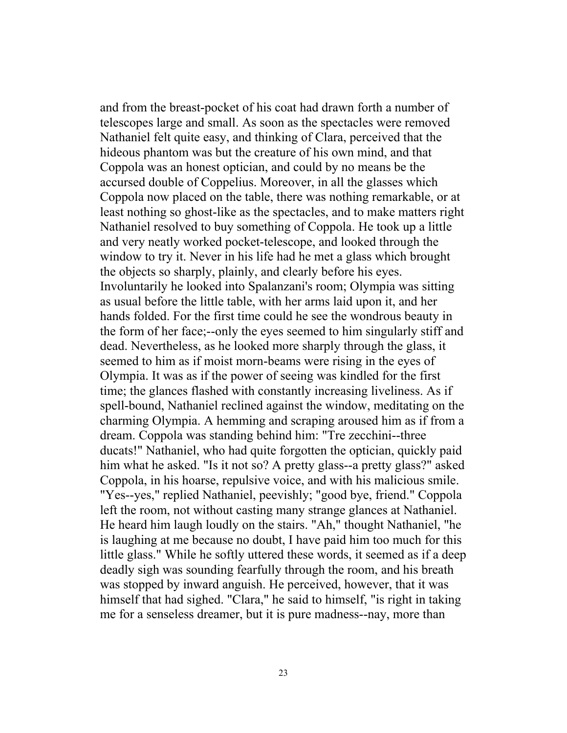and from the breast-pocket of his coat had drawn forth a number of telescopes large and small. As soon as the spectacles were removed Nathaniel felt quite easy, and thinking of Clara, perceived that the hideous phantom was but the creature of his own mind, and that Coppola was an honest optician, and could by no means be the accursed double of Coppelius. Moreover, in all the glasses which Coppola now placed on the table, there was nothing remarkable, or at least nothing so ghost-like as the spectacles, and to make matters right Nathaniel resolved to buy something of Coppola. He took up a little and very neatly worked pocket-telescope, and looked through the window to try it. Never in his life had he met a glass which brought the objects so sharply, plainly, and clearly before his eyes. Involuntarily he looked into Spalanzani's room; Olympia was sitting as usual before the little table, with her arms laid upon it, and her hands folded. For the first time could he see the wondrous beauty in the form of her face;--only the eyes seemed to him singularly stiff and dead. Nevertheless, as he looked more sharply through the glass, it seemed to him as if moist morn-beams were rising in the eyes of Olympia. It was as if the power of seeing was kindled for the first time; the glances flashed with constantly increasing liveliness. As if spell-bound, Nathaniel reclined against the window, meditating on the charming Olympia. A hemming and scraping aroused him as if from a dream. Coppola was standing behind him: "Tre zecchini--three ducats!" Nathaniel, who had quite forgotten the optician, quickly paid him what he asked. "Is it not so? A pretty glass--a pretty glass?" asked Coppola, in his hoarse, repulsive voice, and with his malicious smile. "Yes--yes," replied Nathaniel, peevishly; "good bye, friend." Coppola left the room, not without casting many strange glances at Nathaniel. He heard him laugh loudly on the stairs. "Ah," thought Nathaniel, "he is laughing at me because no doubt, I have paid him too much for this little glass." While he softly uttered these words, it seemed as if a deep deadly sigh was sounding fearfully through the room, and his breath was stopped by inward anguish. He perceived, however, that it was himself that had sighed. "Clara," he said to himself, "is right in taking me for a senseless dreamer, but it is pure madness--nay, more than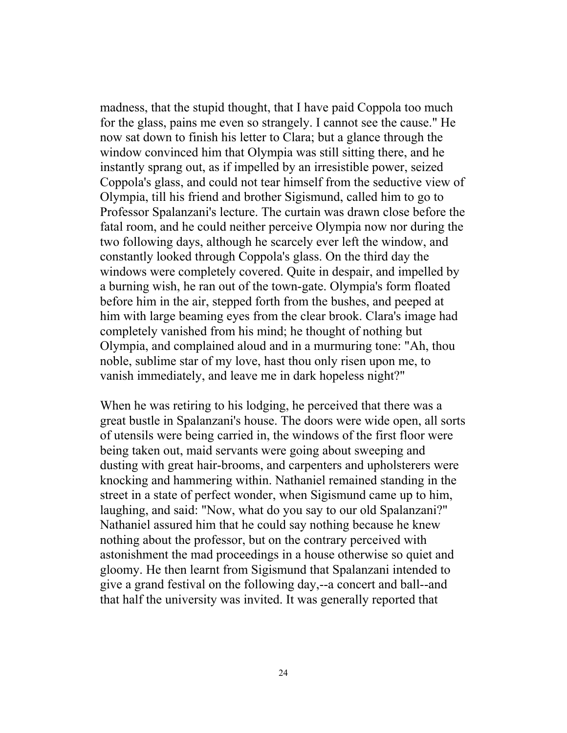madness, that the stupid thought, that I have paid Coppola too much for the glass, pains me even so strangely. I cannot see the cause." He now sat down to finish his letter to Clara; but a glance through the window convinced him that Olympia was still sitting there, and he instantly sprang out, as if impelled by an irresistible power, seized Coppola's glass, and could not tear himself from the seductive view of Olympia, till his friend and brother Sigismund, called him to go to Professor Spalanzani's lecture. The curtain was drawn close before the fatal room, and he could neither perceive Olympia now nor during the two following days, although he scarcely ever left the window, and constantly looked through Coppola's glass. On the third day the windows were completely covered. Quite in despair, and impelled by a burning wish, he ran out of the town-gate. Olympia's form floated before him in the air, stepped forth from the bushes, and peeped at him with large beaming eyes from the clear brook. Clara's image had completely vanished from his mind; he thought of nothing but Olympia, and complained aloud and in a murmuring tone: "Ah, thou noble, sublime star of my love, hast thou only risen upon me, to vanish immediately, and leave me in dark hopeless night?"

When he was retiring to his lodging, he perceived that there was a great bustle in Spalanzani's house. The doors were wide open, all sorts of utensils were being carried in, the windows of the first floor were being taken out, maid servants were going about sweeping and dusting with great hair-brooms, and carpenters and upholsterers were knocking and hammering within. Nathaniel remained standing in the street in a state of perfect wonder, when Sigismund came up to him, laughing, and said: "Now, what do you say to our old Spalanzani?" Nathaniel assured him that he could say nothing because he knew nothing about the professor, but on the contrary perceived with astonishment the mad proceedings in a house otherwise so quiet and gloomy. He then learnt from Sigismund that Spalanzani intended to give a grand festival on the following day,--a concert and ball--and that half the university was invited. It was generally reported that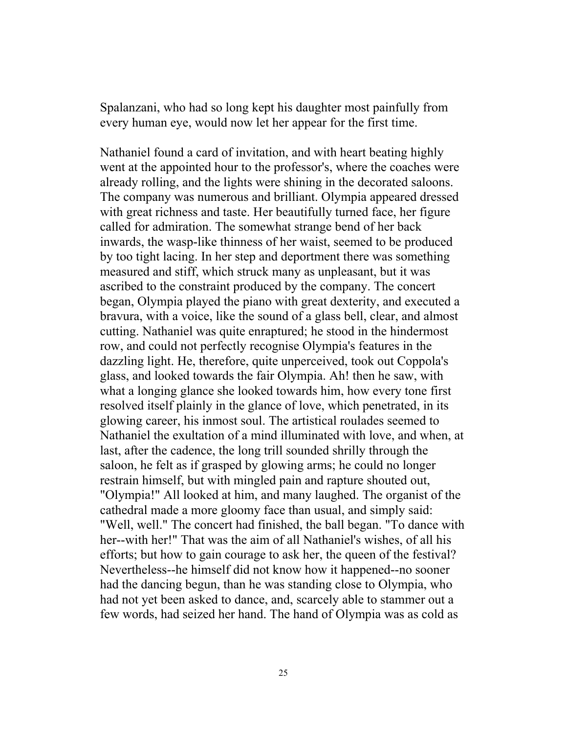Spalanzani, who had so long kept his daughter most painfully from every human eye, would now let her appear for the first time.

Nathaniel found a card of invitation, and with heart beating highly went at the appointed hour to the professor's, where the coaches were already rolling, and the lights were shining in the decorated saloons. The company was numerous and brilliant. Olympia appeared dressed with great richness and taste. Her beautifully turned face, her figure called for admiration. The somewhat strange bend of her back inwards, the wasp-like thinness of her waist, seemed to be produced by too tight lacing. In her step and deportment there was something measured and stiff, which struck many as unpleasant, but it was ascribed to the constraint produced by the company. The concert began, Olympia played the piano with great dexterity, and executed a bravura, with a voice, like the sound of a glass bell, clear, and almost cutting. Nathaniel was quite enraptured; he stood in the hindermost row, and could not perfectly recognise Olympia's features in the dazzling light. He, therefore, quite unperceived, took out Coppola's glass, and looked towards the fair Olympia. Ah! then he saw, with what a longing glance she looked towards him, how every tone first resolved itself plainly in the glance of love, which penetrated, in its glowing career, his inmost soul. The artistical roulades seemed to Nathaniel the exultation of a mind illuminated with love, and when, at last, after the cadence, the long trill sounded shrilly through the saloon, he felt as if grasped by glowing arms; he could no longer restrain himself, but with mingled pain and rapture shouted out, "Olympia!" All looked at him, and many laughed. The organist of the cathedral made a more gloomy face than usual, and simply said: "Well, well." The concert had finished, the ball began. "To dance with her--with her!" That was the aim of all Nathaniel's wishes, of all his efforts; but how to gain courage to ask her, the queen of the festival? Nevertheless--he himself did not know how it happened--no sooner had the dancing begun, than he was standing close to Olympia, who had not yet been asked to dance, and, scarcely able to stammer out a few words, had seized her hand. The hand of Olympia was as cold as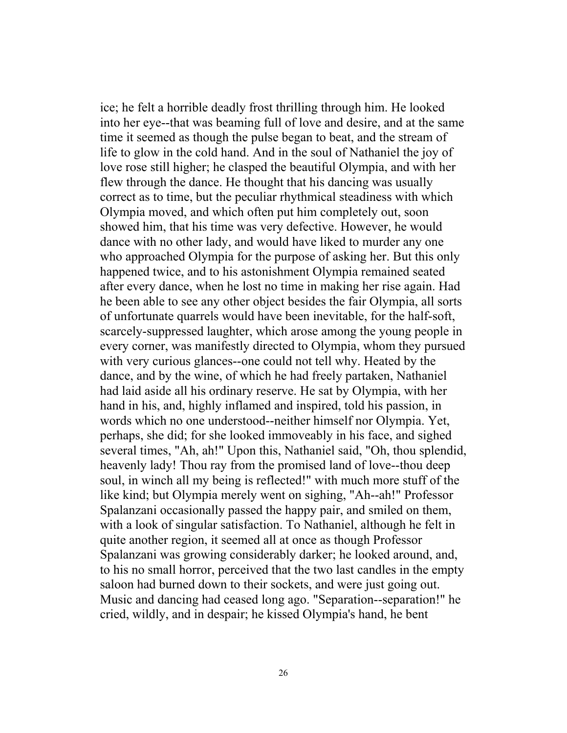ice; he felt a horrible deadly frost thrilling through him. He looked into her eye--that was beaming full of love and desire, and at the same time it seemed as though the pulse began to beat, and the stream of life to glow in the cold hand. And in the soul of Nathaniel the joy of love rose still higher; he clasped the beautiful Olympia, and with her flew through the dance. He thought that his dancing was usually correct as to time, but the peculiar rhythmical steadiness with which Olympia moved, and which often put him completely out, soon showed him, that his time was very defective. However, he would dance with no other lady, and would have liked to murder any one who approached Olympia for the purpose of asking her. But this only happened twice, and to his astonishment Olympia remained seated after every dance, when he lost no time in making her rise again. Had he been able to see any other object besides the fair Olympia, all sorts of unfortunate quarrels would have been inevitable, for the half-soft, scarcely-suppressed laughter, which arose among the young people in every corner, was manifestly directed to Olympia, whom they pursued with very curious glances--one could not tell why. Heated by the dance, and by the wine, of which he had freely partaken, Nathaniel had laid aside all his ordinary reserve. He sat by Olympia, with her hand in his, and, highly inflamed and inspired, told his passion, in words which no one understood--neither himself nor Olympia. Yet, perhaps, she did; for she looked immoveably in his face, and sighed several times, "Ah, ah!" Upon this, Nathaniel said, "Oh, thou splendid, heavenly lady! Thou ray from the promised land of love--thou deep soul, in winch all my being is reflected!" with much more stuff of the like kind; but Olympia merely went on sighing, "Ah--ah!" Professor Spalanzani occasionally passed the happy pair, and smiled on them, with a look of singular satisfaction. To Nathaniel, although he felt in quite another region, it seemed all at once as though Professor Spalanzani was growing considerably darker; he looked around, and, to his no small horror, perceived that the two last candles in the empty saloon had burned down to their sockets, and were just going out. Music and dancing had ceased long ago. "Separation--separation!" he cried, wildly, and in despair; he kissed Olympia's hand, he bent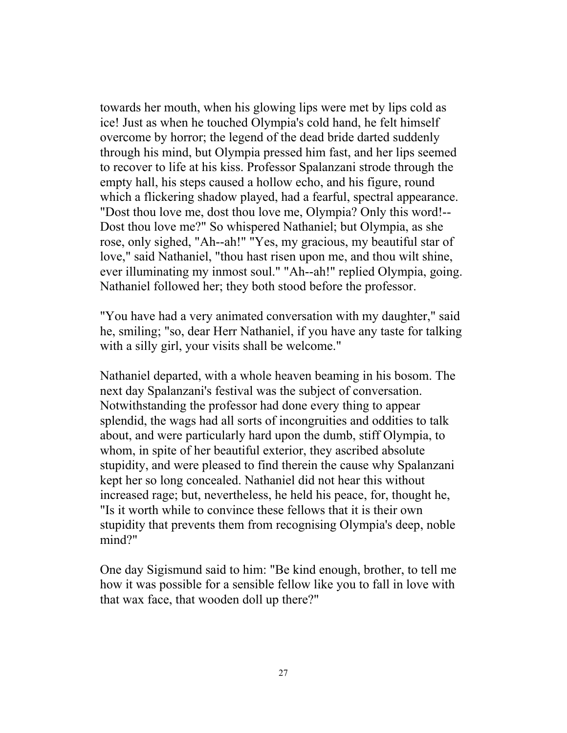towards her mouth, when his glowing lips were met by lips cold as ice! Just as when he touched Olympia's cold hand, he felt himself overcome by horror; the legend of the dead bride darted suddenly through his mind, but Olympia pressed him fast, and her lips seemed to recover to life at his kiss. Professor Spalanzani strode through the empty hall, his steps caused a hollow echo, and his figure, round which a flickering shadow played, had a fearful, spectral appearance. "Dost thou love me, dost thou love me, Olympia? Only this word!-- Dost thou love me?" So whispered Nathaniel; but Olympia, as she rose, only sighed, "Ah--ah!" "Yes, my gracious, my beautiful star of love," said Nathaniel, "thou hast risen upon me, and thou wilt shine, ever illuminating my inmost soul." "Ah--ah!" replied Olympia, going. Nathaniel followed her; they both stood before the professor.

"You have had a very animated conversation with my daughter," said he, smiling; "so, dear Herr Nathaniel, if you have any taste for talking with a silly girl, your visits shall be welcome."

Nathaniel departed, with a whole heaven beaming in his bosom. The next day Spalanzani's festival was the subject of conversation. Notwithstanding the professor had done every thing to appear splendid, the wags had all sorts of incongruities and oddities to talk about, and were particularly hard upon the dumb, stiff Olympia, to whom, in spite of her beautiful exterior, they ascribed absolute stupidity, and were pleased to find therein the cause why Spalanzani kept her so long concealed. Nathaniel did not hear this without increased rage; but, nevertheless, he held his peace, for, thought he, "Is it worth while to convince these fellows that it is their own stupidity that prevents them from recognising Olympia's deep, noble mind?"

One day Sigismund said to him: "Be kind enough, brother, to tell me how it was possible for a sensible fellow like you to fall in love with that wax face, that wooden doll up there?"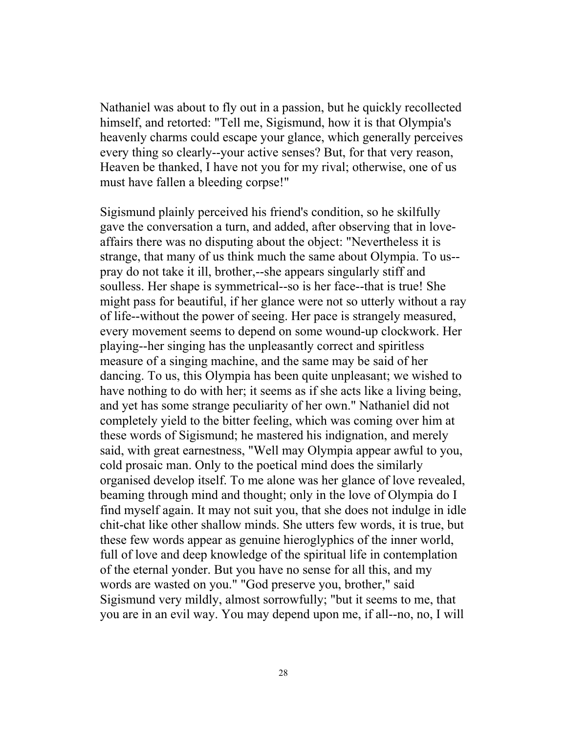Nathaniel was about to fly out in a passion, but he quickly recollected himself, and retorted: "Tell me, Sigismund, how it is that Olympia's heavenly charms could escape your glance, which generally perceives every thing so clearly--your active senses? But, for that very reason, Heaven be thanked, I have not you for my rival; otherwise, one of us must have fallen a bleeding corpse!"

Sigismund plainly perceived his friend's condition, so he skilfully gave the conversation a turn, and added, after observing that in loveaffairs there was no disputing about the object: "Nevertheless it is strange, that many of us think much the same about Olympia. To us- pray do not take it ill, brother,--she appears singularly stiff and soulless. Her shape is symmetrical--so is her face--that is true! She might pass for beautiful, if her glance were not so utterly without a ray of life--without the power of seeing. Her pace is strangely measured, every movement seems to depend on some wound-up clockwork. Her playing--her singing has the unpleasantly correct and spiritless measure of a singing machine, and the same may be said of her dancing. To us, this Olympia has been quite unpleasant; we wished to have nothing to do with her; it seems as if she acts like a living being, and yet has some strange peculiarity of her own." Nathaniel did not completely yield to the bitter feeling, which was coming over him at these words of Sigismund; he mastered his indignation, and merely said, with great earnestness, "Well may Olympia appear awful to you, cold prosaic man. Only to the poetical mind does the similarly organised develop itself. To me alone was her glance of love revealed, beaming through mind and thought; only in the love of Olympia do I find myself again. It may not suit you, that she does not indulge in idle chit-chat like other shallow minds. She utters few words, it is true, but these few words appear as genuine hieroglyphics of the inner world, full of love and deep knowledge of the spiritual life in contemplation of the eternal yonder. But you have no sense for all this, and my words are wasted on you." "God preserve you, brother," said Sigismund very mildly, almost sorrowfully; "but it seems to me, that you are in an evil way. You may depend upon me, if all--no, no, I will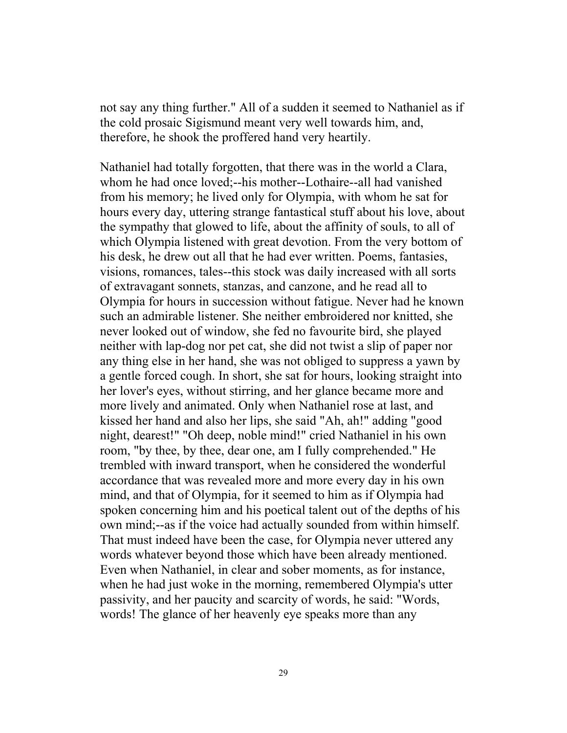not say any thing further." All of a sudden it seemed to Nathaniel as if the cold prosaic Sigismund meant very well towards him, and, therefore, he shook the proffered hand very heartily.

Nathaniel had totally forgotten, that there was in the world a Clara, whom he had once loved;--his mother--Lothaire--all had vanished from his memory; he lived only for Olympia, with whom he sat for hours every day, uttering strange fantastical stuff about his love, about the sympathy that glowed to life, about the affinity of souls, to all of which Olympia listened with great devotion. From the very bottom of his desk, he drew out all that he had ever written. Poems, fantasies, visions, romances, tales--this stock was daily increased with all sorts of extravagant sonnets, stanzas, and canzone, and he read all to Olympia for hours in succession without fatigue. Never had he known such an admirable listener. She neither embroidered nor knitted, she never looked out of window, she fed no favourite bird, she played neither with lap-dog nor pet cat, she did not twist a slip of paper nor any thing else in her hand, she was not obliged to suppress a yawn by a gentle forced cough. In short, she sat for hours, looking straight into her lover's eyes, without stirring, and her glance became more and more lively and animated. Only when Nathaniel rose at last, and kissed her hand and also her lips, she said "Ah, ah!" adding "good night, dearest!" "Oh deep, noble mind!" cried Nathaniel in his own room, "by thee, by thee, dear one, am I fully comprehended." He trembled with inward transport, when he considered the wonderful accordance that was revealed more and more every day in his own mind, and that of Olympia, for it seemed to him as if Olympia had spoken concerning him and his poetical talent out of the depths of his own mind;--as if the voice had actually sounded from within himself. That must indeed have been the case, for Olympia never uttered any words whatever beyond those which have been already mentioned. Even when Nathaniel, in clear and sober moments, as for instance, when he had just woke in the morning, remembered Olympia's utter passivity, and her paucity and scarcity of words, he said: "Words, words! The glance of her heavenly eye speaks more than any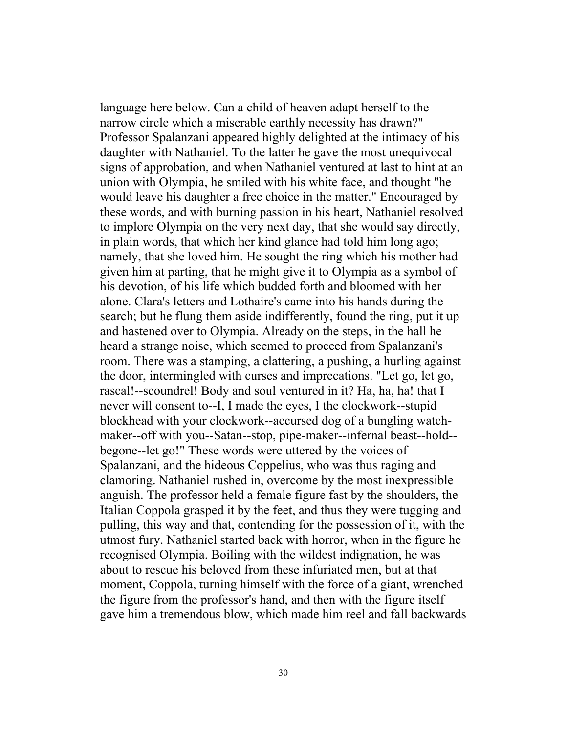language here below. Can a child of heaven adapt herself to the narrow circle which a miserable earthly necessity has drawn?" Professor Spalanzani appeared highly delighted at the intimacy of his daughter with Nathaniel. To the latter he gave the most unequivocal signs of approbation, and when Nathaniel ventured at last to hint at an union with Olympia, he smiled with his white face, and thought "he would leave his daughter a free choice in the matter." Encouraged by these words, and with burning passion in his heart, Nathaniel resolved to implore Olympia on the very next day, that she would say directly, in plain words, that which her kind glance had told him long ago; namely, that she loved him. He sought the ring which his mother had given him at parting, that he might give it to Olympia as a symbol of his devotion, of his life which budded forth and bloomed with her alone. Clara's letters and Lothaire's came into his hands during the search; but he flung them aside indifferently, found the ring, put it up and hastened over to Olympia. Already on the steps, in the hall he heard a strange noise, which seemed to proceed from Spalanzani's room. There was a stamping, a clattering, a pushing, a hurling against the door, intermingled with curses and imprecations. "Let go, let go, rascal!--scoundrel! Body and soul ventured in it? Ha, ha, ha! that I never will consent to--I, I made the eyes, I the clockwork--stupid blockhead with your clockwork--accursed dog of a bungling watchmaker--off with you--Satan--stop, pipe-maker--infernal beast--hold- begone--let go!" These words were uttered by the voices of Spalanzani, and the hideous Coppelius, who was thus raging and clamoring. Nathaniel rushed in, overcome by the most inexpressible anguish. The professor held a female figure fast by the shoulders, the Italian Coppola grasped it by the feet, and thus they were tugging and pulling, this way and that, contending for the possession of it, with the utmost fury. Nathaniel started back with horror, when in the figure he recognised Olympia. Boiling with the wildest indignation, he was about to rescue his beloved from these infuriated men, but at that moment, Coppola, turning himself with the force of a giant, wrenched the figure from the professor's hand, and then with the figure itself gave him a tremendous blow, which made him reel and fall backwards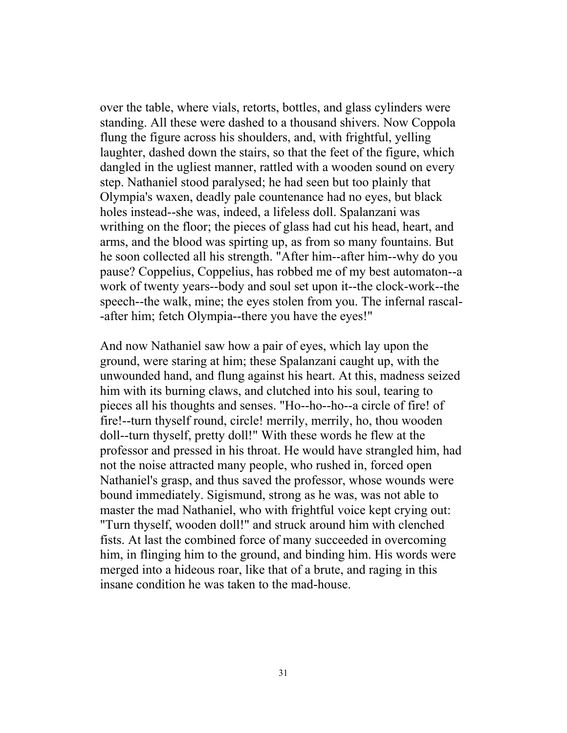over the table, where vials, retorts, bottles, and glass cylinders were standing. All these were dashed to a thousand shivers. Now Coppola flung the figure across his shoulders, and, with frightful, yelling laughter, dashed down the stairs, so that the feet of the figure, which dangled in the ugliest manner, rattled with a wooden sound on every step. Nathaniel stood paralysed; he had seen but too plainly that Olympia's waxen, deadly pale countenance had no eyes, but black holes instead--she was, indeed, a lifeless doll. Spalanzani was writhing on the floor; the pieces of glass had cut his head, heart, and arms, and the blood was spirting up, as from so many fountains. But he soon collected all his strength. "After him--after him--why do you pause? Coppelius, Coppelius, has robbed me of my best automaton--a work of twenty years--body and soul set upon it--the clock-work--the speech--the walk, mine; the eyes stolen from you. The infernal rascal- -after him; fetch Olympia--there you have the eyes!"

And now Nathaniel saw how a pair of eyes, which lay upon the ground, were staring at him; these Spalanzani caught up, with the unwounded hand, and flung against his heart. At this, madness seized him with its burning claws, and clutched into his soul, tearing to pieces all his thoughts and senses. "Ho--ho--ho--a circle of fire! of fire!--turn thyself round, circle! merrily, merrily, ho, thou wooden doll--turn thyself, pretty doll!" With these words he flew at the professor and pressed in his throat. He would have strangled him, had not the noise attracted many people, who rushed in, forced open Nathaniel's grasp, and thus saved the professor, whose wounds were bound immediately. Sigismund, strong as he was, was not able to master the mad Nathaniel, who with frightful voice kept crying out: "Turn thyself, wooden doll!" and struck around him with clenched fists. At last the combined force of many succeeded in overcoming him, in flinging him to the ground, and binding him. His words were merged into a hideous roar, like that of a brute, and raging in this insane condition he was taken to the mad-house.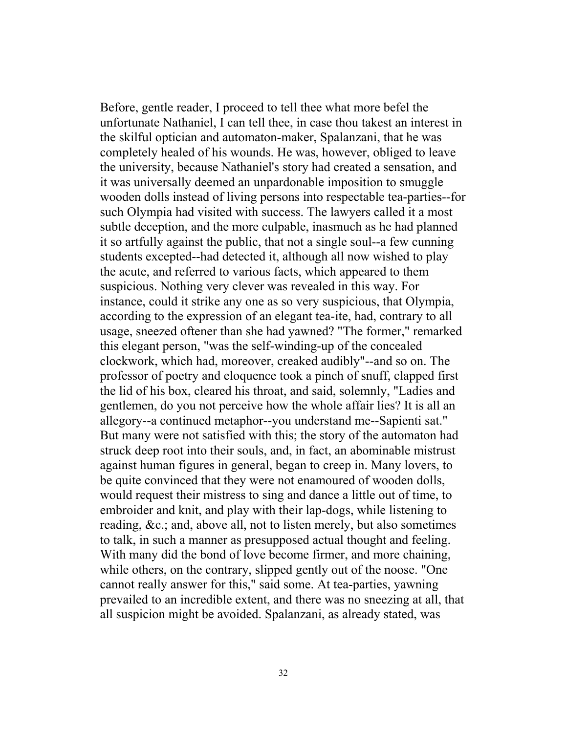Before, gentle reader, I proceed to tell thee what more befel the unfortunate Nathaniel, I can tell thee, in case thou takest an interest in the skilful optician and automaton-maker, Spalanzani, that he was completely healed of his wounds. He was, however, obliged to leave the university, because Nathaniel's story had created a sensation, and it was universally deemed an unpardonable imposition to smuggle wooden dolls instead of living persons into respectable tea-parties--for such Olympia had visited with success. The lawyers called it a most subtle deception, and the more culpable, inasmuch as he had planned it so artfully against the public, that not a single soul--a few cunning students excepted--had detected it, although all now wished to play the acute, and referred to various facts, which appeared to them suspicious. Nothing very clever was revealed in this way. For instance, could it strike any one as so very suspicious, that Olympia, according to the expression of an elegant tea-ite, had, contrary to all usage, sneezed oftener than she had yawned? "The former," remarked this elegant person, "was the self-winding-up of the concealed clockwork, which had, moreover, creaked audibly"--and so on. The professor of poetry and eloquence took a pinch of snuff, clapped first the lid of his box, cleared his throat, and said, solemnly, "Ladies and gentlemen, do you not perceive how the whole affair lies? It is all an allegory--a continued metaphor--you understand me--Sapienti sat." But many were not satisfied with this; the story of the automaton had struck deep root into their souls, and, in fact, an abominable mistrust against human figures in general, began to creep in. Many lovers, to be quite convinced that they were not enamoured of wooden dolls, would request their mistress to sing and dance a little out of time, to embroider and knit, and play with their lap-dogs, while listening to reading, &c.; and, above all, not to listen merely, but also sometimes to talk, in such a manner as presupposed actual thought and feeling. With many did the bond of love become firmer, and more chaining, while others, on the contrary, slipped gently out of the noose. "One cannot really answer for this," said some. At tea-parties, yawning prevailed to an incredible extent, and there was no sneezing at all, that all suspicion might be avoided. Spalanzani, as already stated, was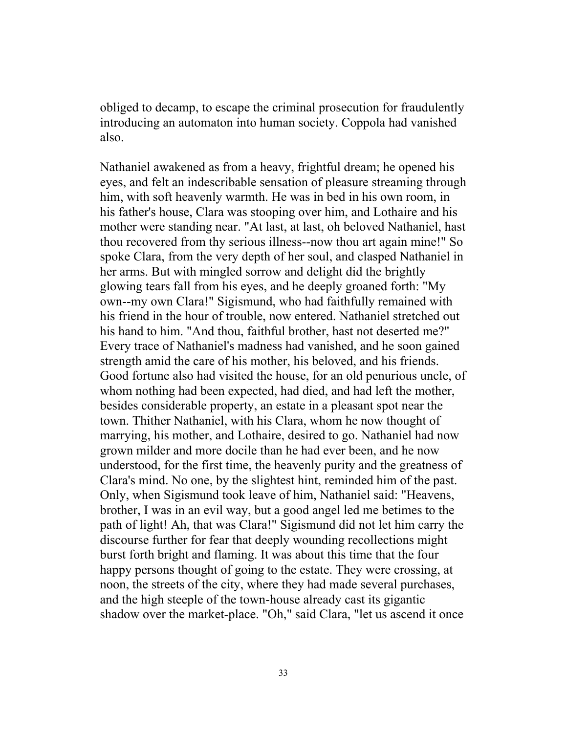obliged to decamp, to escape the criminal prosecution for fraudulently introducing an automaton into human society. Coppola had vanished also.

Nathaniel awakened as from a heavy, frightful dream; he opened his eyes, and felt an indescribable sensation of pleasure streaming through him, with soft heavenly warmth. He was in bed in his own room, in his father's house, Clara was stooping over him, and Lothaire and his mother were standing near. "At last, at last, oh beloved Nathaniel, hast thou recovered from thy serious illness--now thou art again mine!" So spoke Clara, from the very depth of her soul, and clasped Nathaniel in her arms. But with mingled sorrow and delight did the brightly glowing tears fall from his eyes, and he deeply groaned forth: "My own--my own Clara!" Sigismund, who had faithfully remained with his friend in the hour of trouble, now entered. Nathaniel stretched out his hand to him. "And thou, faithful brother, hast not deserted me?" Every trace of Nathaniel's madness had vanished, and he soon gained strength amid the care of his mother, his beloved, and his friends. Good fortune also had visited the house, for an old penurious uncle, of whom nothing had been expected, had died, and had left the mother, besides considerable property, an estate in a pleasant spot near the town. Thither Nathaniel, with his Clara, whom he now thought of marrying, his mother, and Lothaire, desired to go. Nathaniel had now grown milder and more docile than he had ever been, and he now understood, for the first time, the heavenly purity and the greatness of Clara's mind. No one, by the slightest hint, reminded him of the past. Only, when Sigismund took leave of him, Nathaniel said: "Heavens, brother, I was in an evil way, but a good angel led me betimes to the path of light! Ah, that was Clara!" Sigismund did not let him carry the discourse further for fear that deeply wounding recollections might burst forth bright and flaming. It was about this time that the four happy persons thought of going to the estate. They were crossing, at noon, the streets of the city, where they had made several purchases, and the high steeple of the town-house already cast its gigantic shadow over the market-place. "Oh," said Clara, "let us ascend it once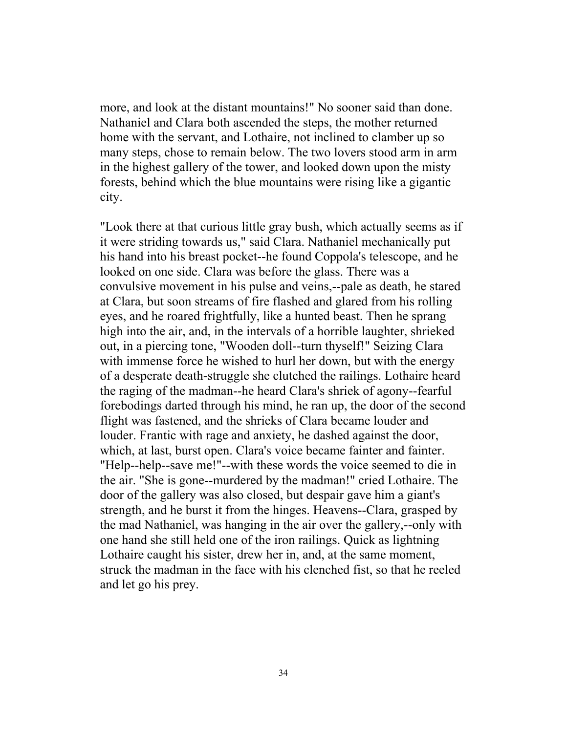more, and look at the distant mountains!" No sooner said than done. Nathaniel and Clara both ascended the steps, the mother returned home with the servant, and Lothaire, not inclined to clamber up so many steps, chose to remain below. The two lovers stood arm in arm in the highest gallery of the tower, and looked down upon the misty forests, behind which the blue mountains were rising like a gigantic city.

"Look there at that curious little gray bush, which actually seems as if it were striding towards us," said Clara. Nathaniel mechanically put his hand into his breast pocket--he found Coppola's telescope, and he looked on one side. Clara was before the glass. There was a convulsive movement in his pulse and veins,--pale as death, he stared at Clara, but soon streams of fire flashed and glared from his rolling eyes, and he roared frightfully, like a hunted beast. Then he sprang high into the air, and, in the intervals of a horrible laughter, shrieked out, in a piercing tone, "Wooden doll--turn thyself!" Seizing Clara with immense force he wished to hurl her down, but with the energy of a desperate death-struggle she clutched the railings. Lothaire heard the raging of the madman--he heard Clara's shriek of agony--fearful forebodings darted through his mind, he ran up, the door of the second flight was fastened, and the shrieks of Clara became louder and louder. Frantic with rage and anxiety, he dashed against the door, which, at last, burst open. Clara's voice became fainter and fainter. "Help--help--save me!"--with these words the voice seemed to die in the air. "She is gone--murdered by the madman!" cried Lothaire. The door of the gallery was also closed, but despair gave him a giant's strength, and he burst it from the hinges. Heavens--Clara, grasped by the mad Nathaniel, was hanging in the air over the gallery,--only with one hand she still held one of the iron railings. Quick as lightning Lothaire caught his sister, drew her in, and, at the same moment, struck the madman in the face with his clenched fist, so that he reeled and let go his prey.